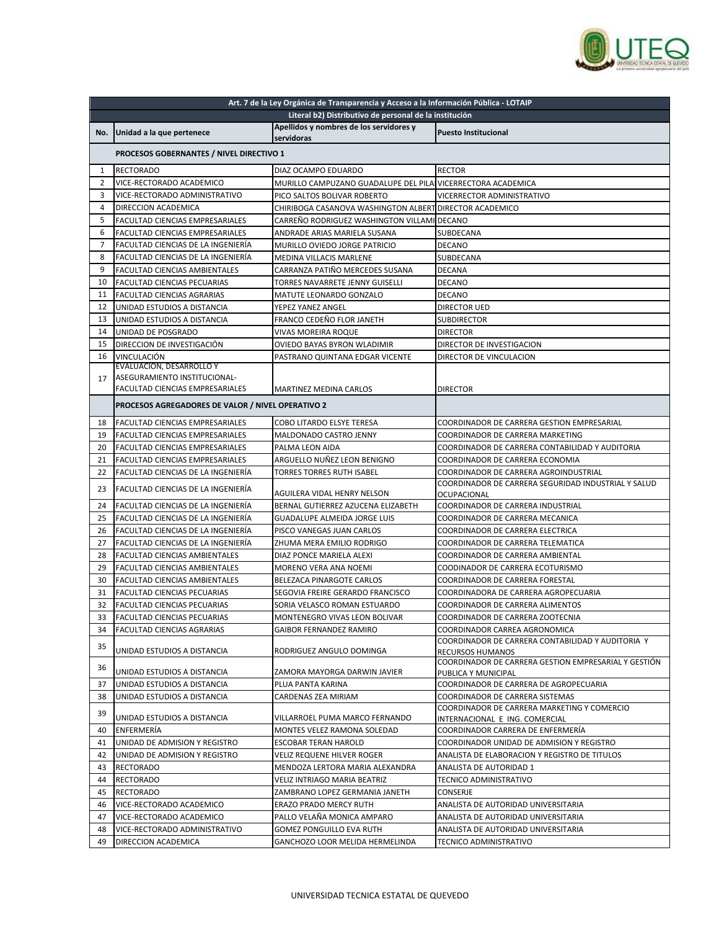

| Art. 7 de la Ley Orgánica de Transparencia y Acceso a la Información Pública - LOTAIP |                                                   |                                                             |                                                                          |
|---------------------------------------------------------------------------------------|---------------------------------------------------|-------------------------------------------------------------|--------------------------------------------------------------------------|
|                                                                                       |                                                   | Literal b2) Distributivo de personal de la institución      |                                                                          |
|                                                                                       | No. Unidad a la que pertenece                     | Apellidos y nombres de los servidores y<br>servidoras       | <b>Puesto Institucional</b>                                              |
|                                                                                       | PROCESOS GOBERNANTES / NIVEL DIRECTIVO 1          |                                                             |                                                                          |
| 1                                                                                     | <b>RECTORADO</b>                                  | DIAZ OCAMPO EDUARDO                                         | <b>RECTOR</b>                                                            |
| 2                                                                                     | VICE-RECTORADO ACADEMICO                          | MURILLO CAMPUZANO GUADALUPE DEL PILA VICERRECTORA ACADEMICA |                                                                          |
| 3                                                                                     | VICE-RECTORADO ADMINISTRATIVO                     | PICO SALTOS BOLIVAR ROBERTO                                 | VICERRECTOR ADMINISTRATIVO                                               |
| $\overline{4}$                                                                        | DIRECCION ACADEMICA                               | CHIRIBOGA CASANOVA WASHINGTON ALBERT DIRECTOR ACADEMICO     |                                                                          |
| 5                                                                                     | <b>FACULTAD CIENCIAS EMPRESARIALES</b>            | CARREÑO RODRIGUEZ WASHINGTON VILLAMI DECANO                 |                                                                          |
| 6                                                                                     | <b>FACULTAD CIENCIAS EMPRESARIALES</b>            | ANDRADE ARIAS MARIELA SUSANA                                | SUBDECANA                                                                |
| $\overline{7}$                                                                        | FACULTAD CIENCIAS DE LA INGENIERÍA                | MURILLO OVIEDO JORGE PATRICIO                               | <b>DECANO</b>                                                            |
| 8                                                                                     | FACULTAD CIENCIAS DE LA INGENIERÍA                | MEDINA VILLACIS MARLENE                                     | SUBDECANA                                                                |
| 9                                                                                     | FACULTAD CIENCIAS AMBIENTALES                     | CARRANZA PATIÑO MERCEDES SUSANA                             | <b>DECANA</b>                                                            |
| 10                                                                                    | FACULTAD CIENCIAS PECUARIAS                       | TORRES NAVARRETE JENNY GUISELLI                             | DECANO                                                                   |
| 11                                                                                    | FACULTAD CIENCIAS AGRARIAS                        | MATUTE LEONARDO GONZALO                                     | <b>DECANO</b>                                                            |
| 12                                                                                    | UNIDAD ESTUDIOS A DISTANCIA                       | YEPEZ YANEZ ANGEL                                           | <b>DIRECTOR UED</b>                                                      |
| 13                                                                                    | UNIDAD ESTUDIOS A DISTANCIA                       | FRANCO CEDEÑO FLOR JANETH                                   | <b>SUBDIRECTOR</b>                                                       |
| 14                                                                                    | UNIDAD DE POSGRADO                                | <b>VIVAS MOREIRA ROQUE</b>                                  | <b>DIRECTOR</b>                                                          |
| 15                                                                                    | DIRECCION DE INVESTIGACIÓN                        | <b>OVIEDO BAYAS BYRON WLADIMIR</b>                          | DIRECTOR DE INVESTIGACION                                                |
| 16                                                                                    | <b>VINCULACIÓN</b>                                | PASTRANO QUINTANA EDGAR VICENTE                             | DIRECTOR DE VINCULACION                                                  |
|                                                                                       | <b>EVALUACION, DESARROLLO Y</b>                   |                                                             |                                                                          |
| 17                                                                                    | ASEGURAMIENTO INSTITUCIONAL-                      |                                                             |                                                                          |
|                                                                                       | FACULTAD CIENCIAS EMPRESARIALES                   | <b>MARTINEZ MEDINA CARLOS</b>                               | <b>DIRECTOR</b>                                                          |
|                                                                                       | PROCESOS AGREGADORES DE VALOR / NIVEL OPERATIVO 2 |                                                             |                                                                          |
| 18                                                                                    | FACULTAD CIENCIAS EMPRESARIALES                   | COBO LITARDO ELSYE TERESA                                   | COORDINADOR DE CARRERA GESTION EMPRESARIAL                               |
| 19                                                                                    | <b>FACULTAD CIENCIAS EMPRESARIALES</b>            | MALDONADO CASTRO JENNY                                      | COORDINADOR DE CARRERA MARKETING                                         |
| 20                                                                                    | FACULTAD CIENCIAS EMPRESARIALES                   | PALMA LEON AIDA                                             | COORDINADOR DE CARRERA CONTABILIDAD Y AUDITORIA                          |
| 21                                                                                    | <b>FACULTAD CIENCIAS EMPRESARIALES</b>            | ARGUELLO NUÑEZ LEON BENIGNO                                 | COORDINADOR DE CARRERA ECONOMIA                                          |
| 22                                                                                    | FACULTAD CIENCIAS DE LA INGENIERÍA                | <b>TORRES TORRES RUTH ISABEL</b>                            | COORDINADOR DE CARRERA AGROINDUSTRIAL                                    |
| 23                                                                                    | FACULTAD CIENCIAS DE LA INGENIERÍA                | AGUILERA VIDAL HENRY NELSON                                 | COORDINADOR DE CARRERA SEGURIDAD INDUSTRIAL Y SALUD<br>OCUPACIONAL       |
| 24                                                                                    | FACULTAD CIENCIAS DE LA INGENIERÍA                | BERNAL GUTIERREZ AZUCENA ELIZABETH                          | COORDINADOR DE CARRERA INDUSTRIAL                                        |
| 25                                                                                    | FACULTAD CIENCIAS DE LA INGENIERÍA                | <b>GUADALUPE ALMEIDA JORGE LUIS</b>                         | COORDINADOR DE CARRERA MECANICA                                          |
| 26                                                                                    | FACULTAD CIENCIAS DE LA INGENIERÍA                | PISCO VANEGAS JUAN CARLOS                                   | COORDINADOR DE CARRERA ELECTRICA                                         |
| 27                                                                                    | FACULTAD CIENCIAS DE LA INGENIERÍA                | ZHUMA MERA EMILIO RODRIGO                                   | COORDINADOR DE CARRERA TELEMATICA                                        |
| 28                                                                                    | FACULTAD CIENCIAS AMBIENTALES                     | DIAZ PONCE MARIELA ALEXI                                    | COORDINADOR DE CARRERA AMBIENTAL                                         |
| 29                                                                                    | <b>FACULTAD CIENCIAS AMBIENTALES</b>              | MORENO VERA ANA NOEMI                                       | COODINADOR DE CARRERA ECOTURISMO                                         |
| 30                                                                                    | FACULTAD CIENCIAS AMBIENTALES                     | BELEZACA PINARGOTE CARLOS                                   | COORDINADOR DE CARRERA FORESTAL                                          |
| 31                                                                                    | FACULTAD CIENCIAS PECUARIAS                       | SEGOVIA FREIRE GERARDO FRANCISCO                            | COORDINADORA DE CARRERA AGROPECUARIA                                     |
| 32                                                                                    | <b>FACULTAD CIENCIAS PECUARIAS</b>                | SORIA VELASCO ROMAN ESTUARDO                                | COORDINADOR DE CARRERA ALIMENTOS                                         |
| 33                                                                                    | <b>FACULTAD CIENCIAS PECUARIAS</b>                | MONTENEGRO VIVAS LEON BOLIVAR                               | COORDINADOR DE CARRERA ZOOTECNIA                                         |
| 34                                                                                    | FACULTAD CIENCIAS AGRARIAS                        | <b>GAIBOR FERNANDEZ RAMIRO</b>                              | COORDINADOR CARREA AGRONOMICA                                            |
| 35                                                                                    |                                                   |                                                             | COORDINADOR DE CARRERA CONTABILIDAD Y AUDITORIA Y                        |
|                                                                                       | UNIDAD ESTUDIOS A DISTANCIA                       | RODRIGUEZ ANGULO DOMINGA                                    | RECURSOS HUMANOS<br>COORDINADOR DE CARRERA GESTION EMPRESARIAL Y GESTIÓN |
| 36                                                                                    | UNIDAD ESTUDIOS A DISTANCIA                       | ZAMORA MAYORGA DARWIN JAVIER                                | PUBLICA Y MUNICIPAL                                                      |
| 37                                                                                    | UNIDAD ESTUDIOS A DISTANCIA                       | PLUA PANTA KARINA                                           | COORDINADOR DE CARRERA DE AGROPECUARIA                                   |
| 38                                                                                    | UNIDAD ESTUDIOS A DISTANCIA                       | CARDENAS ZEA MIRIAM                                         | COORDINADOR DE CARRERA SISTEMAS                                          |
|                                                                                       |                                                   |                                                             | COORDINADOR DE CARRERA MARKETING Y COMERCIO                              |
| 39                                                                                    | UNIDAD ESTUDIOS A DISTANCIA                       | VILLARROEL PUMA MARCO FERNANDO                              | INTERNACIONAL E ING. COMERCIAL                                           |
| 40                                                                                    | ENFERMERÍA                                        | MONTES VELEZ RAMONA SOLEDAD                                 | COORDINADOR CARRERA DE ENFERMERÍA                                        |
| 41                                                                                    | UNIDAD DE ADMISION Y REGISTRO                     | ESCOBAR TERAN HAROLD                                        | COORDINADOR UNIDAD DE ADMISION Y REGISTRO                                |
| 42                                                                                    | UNIDAD DE ADMISION Y REGISTRO                     | VELIZ REQUENE HILVER ROGER                                  | ANALISTA DE ELABORACION Y REGISTRO DE TITULOS                            |
| 43                                                                                    | <b>RECTORADO</b>                                  | MENDOZA LERTORA MARIA ALEXANDRA                             | ANALISTA DE AUTORIDAD 1                                                  |
| 44                                                                                    | <b>RECTORADO</b>                                  | VELIZ INTRIAGO MARIA BEATRIZ                                | TECNICO ADMINISTRATIVO                                                   |
| 45                                                                                    | <b>RECTORADO</b>                                  | ZAMBRANO LOPEZ GERMANIA JANETH                              | CONSERJE                                                                 |
| 46                                                                                    | VICE-RECTORADO ACADEMICO                          | ERAZO PRADO MERCY RUTH                                      | ANALISTA DE AUTORIDAD UNIVERSITARIA                                      |
| 47                                                                                    | VICE-RECTORADO ACADEMICO                          | PALLO VELAÑA MONICA AMPARO                                  | ANALISTA DE AUTORIDAD UNIVERSITARIA                                      |
| 48                                                                                    | VICE-RECTORADO ADMINISTRATIVO                     | GOMEZ PONGUILLO EVA RUTH                                    | ANALISTA DE AUTORIDAD UNIVERSITARIA                                      |
| 49                                                                                    | DIRECCION ACADEMICA                               | GANCHOZO LOOR MELIDA HERMELINDA                             | TECNICO ADMINISTRATIVO                                                   |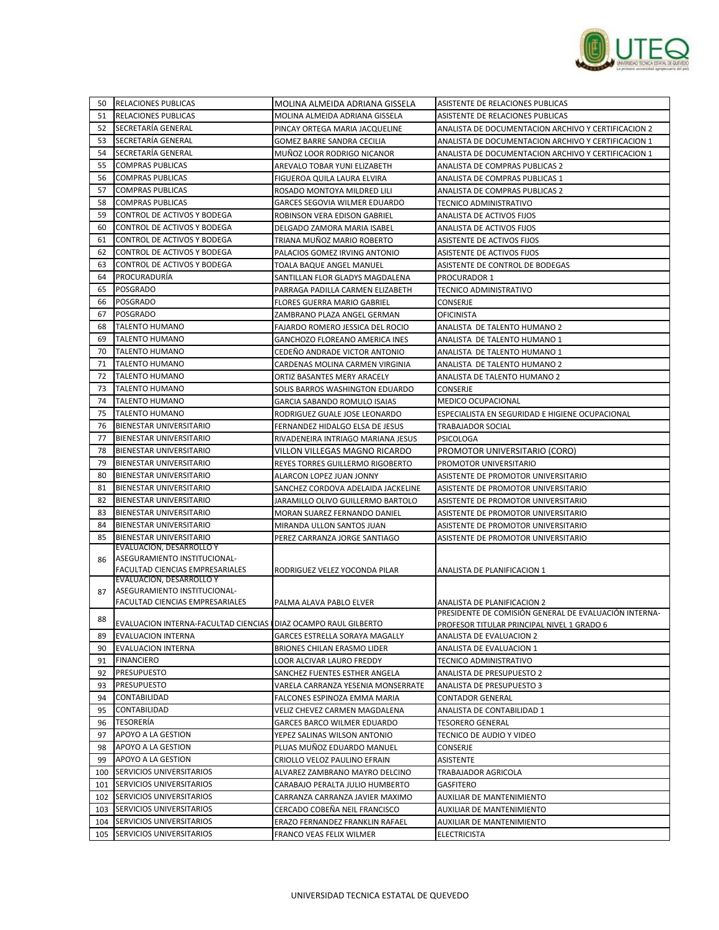

| 50  | <b>RELACIONES PUBLICAS</b>                                       | MOLINA ALMEIDA ADRIANA GISSELA        | ASISTENTE DE RELACIONES PUBLICAS                      |
|-----|------------------------------------------------------------------|---------------------------------------|-------------------------------------------------------|
| 51  | <b>RELACIONES PUBLICAS</b>                                       | MOLINA ALMEIDA ADRIANA GISSELA        | ASISTENTE DE RELACIONES PUBLICAS                      |
| 52  | SECRETARÍA GENERAL                                               | PINCAY ORTEGA MARIA JACQUELINE        | ANALISTA DE DOCUMENTACION ARCHIVO Y CERTIFICACION 2   |
| 53  | SECRETARÍA GENERAL                                               | GOMEZ BARRE SANDRA CECILIA            | ANALISTA DE DOCUMENTACION ARCHIVO Y CERTIFICACION 1   |
| 54  | SECRETARÍA GENERAL                                               | MUÑOZ LOOR RODRIGO NICANOR            | ANALISTA DE DOCUMENTACION ARCHIVO Y CERTIFICACION 1   |
| 55  | <b>COMPRAS PUBLICAS</b>                                          | AREVALO TOBAR YUNI ELIZABETH          | ANALISTA DE COMPRAS PUBLICAS 2                        |
| 56  | <b>COMPRAS PUBLICAS</b>                                          | FIGUEROA QUILA LAURA ELVIRA           | ANALISTA DE COMPRAS PUBLICAS 1                        |
| 57  | <b>COMPRAS PUBLICAS</b>                                          | ROSADO MONTOYA MILDRED LILI           | ANALISTA DE COMPRAS PUBLICAS 2                        |
| 58  | COMPRAS PUBLICAS                                                 | GARCES SEGOVIA WILMER EDUARDO         | TECNICO ADMINISTRATIVO                                |
| 59  | CONTROL DE ACTIVOS Y BODEGA                                      | ROBINSON VERA EDISON GABRIEL          | ANALISTA DE ACTIVOS FIJOS                             |
| 60  | CONTROL DE ACTIVOS Y BODEGA                                      | DELGADO ZAMORA MARIA ISABEL           | ANALISTA DE ACTIVOS FIJOS                             |
| 61  | CONTROL DE ACTIVOS Y BODEGA                                      | TRIANA MUÑOZ MARIO ROBERTO            | ASISTENTE DE ACTIVOS FIJOS                            |
| 62  | CONTROL DE ACTIVOS Y BODEGA                                      | PALACIOS GOMEZ IRVING ANTONIO         | ASISTENTE DE ACTIVOS FIJOS                            |
| 63  | CONTROL DE ACTIVOS Y BODEGA                                      | TOALA BAQUE ANGEL MANUEL              | ASISTENTE DE CONTROL DE BODEGAS                       |
| 64  | PROCURADURÍA                                                     | SANTILLAN FLOR GLADYS MAGDALENA       | PROCURADOR 1                                          |
| 65  | <b>POSGRADO</b>                                                  | PARRAGA PADILLA CARMEN ELIZABETH      | TECNICO ADMINISTRATIVO                                |
| 66  | <b>POSGRADO</b>                                                  | FLORES GUERRA MARIO GABRIEL           | CONSERJE                                              |
| 67  | <b>POSGRADO</b>                                                  | ZAMBRANO PLAZA ANGEL GERMAN           | <b>OFICINISTA</b>                                     |
| 68  | <b>TALENTO HUMANO</b>                                            | FAJARDO ROMERO JESSICA DEL ROCIO      | ANALISTA DE TALENTO HUMANO 2                          |
| 69  | <b>TALENTO HUMANO</b>                                            | <b>GANCHOZO FLOREANO AMERICA INES</b> | ANALISTA DE TALENTO HUMANO 1                          |
| 70  | <b>TALENTO HUMANO</b>                                            | CEDEÑO ANDRADE VICTOR ANTONIO         | ANALISTA DE TALENTO HUMANO 1                          |
| 71  | <b>TALENTO HUMANO</b>                                            | CARDENAS MOLINA CARMEN VIRGINIA       | ANALISTA DE TALENTO HUMANO 2                          |
| 72  | <b>TALENTO HUMANO</b>                                            | ORTIZ BASANTES MERY ARACELY           | ANALISTA DE TALENTO HUMANO 2                          |
| 73  | <b>TALENTO HUMANO</b>                                            | SOLIS BARROS WASHINGTON EDUARDO       | CONSERJE                                              |
| 74  | TALENTO HUMANO                                                   | GARCIA SABANDO ROMULO ISAIAS          | <b>MEDICO OCUPACIONAL</b>                             |
| 75  | <b>TALENTO HUMANO</b>                                            | RODRIGUEZ GUALE JOSE LEONARDO         | ESPECIALISTA EN SEGURIDAD E HIGIENE OCUPACIONAL       |
| 76  | <b>BIENESTAR UNIVERSITARIO</b>                                   | FERNANDEZ HIDALGO ELSA DE JESUS       | <b>TRABAJADOR SOCIAL</b>                              |
| 77  | <b>BIENESTAR UNIVERSITARIO</b>                                   | RIVADENEIRA INTRIAGO MARIANA JESUS    | <b>PSICOLOGA</b>                                      |
| 78  | <b>BIENESTAR UNIVERSITARIO</b>                                   | VILLON VILLEGAS MAGNO RICARDO         | PROMOTOR UNIVERSITARIO (CORO)                         |
| 79  | <b>BIENESTAR UNIVERSITARIO</b>                                   | REYES TORRES GUILLERMO RIGOBERTO      | PROMOTOR UNIVERSITARIO                                |
| 80  | <b>BIENESTAR UNIVERSITARIO</b>                                   | ALARCON LOPEZ JUAN JONNY              | ASISTENTE DE PROMOTOR UNIVERSITARIO                   |
| 81  | <b>BIENESTAR UNIVERSITARIO</b>                                   | SANCHEZ CORDOVA ADELAIDA JACKELINE    | ASISTENTE DE PROMOTOR UNIVERSITARIO                   |
| 82  | <b>BIENESTAR UNIVERSITARIO</b>                                   | JARAMILLO OLIVO GUILLERMO BARTOLO     | ASISTENTE DE PROMOTOR UNIVERSITARIO                   |
| 83  | <b>BIENESTAR UNIVERSITARIO</b>                                   | MORAN SUAREZ FERNANDO DANIEL          | ASISTENTE DE PROMOTOR UNIVERSITARIO                   |
| 84  | <b>BIENESTAR UNIVERSITARIO</b>                                   | MIRANDA ULLON SANTOS JUAN             | ASISTENTE DE PROMOTOR UNIVERSITARIO                   |
| 85  | <b>BIENESTAR UNIVERSITARIO</b>                                   | PEREZ CARRANZA JORGE SANTIAGO         | ASISTENTE DE PROMOTOR UNIVERSITARIO                   |
|     | EVALUACION, DESARROLLO Y                                         |                                       |                                                       |
| 86  | ASEGURAMIENTO INSTITUCIONAL-<br>FACULTAD CIENCIAS EMPRESARIALES  |                                       |                                                       |
|     | EVALUACION, DESARROLLO Y                                         | RODRIGUEZ VELEZ YOCONDA PILAR         | ANALISTA DE PLANIFICACION 1                           |
| 87  | ASEGURAMIENTO INSTITUCIONAL-                                     |                                       |                                                       |
|     | FACULTAD CIENCIAS EMPRESARIALES                                  | PALMA ALAVA PABLO ELVER               | ANALISTA DE PLANIFICACION 2                           |
| 88  |                                                                  |                                       | PRESIDENTE DE COMISIÓN GENERAL DE EVALUACIÓN INTERNA- |
|     | EVALUACION INTERNA-FACULTAD CIENCIAS   DIAZ OCAMPO RAUL GILBERTO |                                       | PROFESOR TITULAR PRINCIPAL NIVEL 1 GRADO 6            |
| 89  | EVALUACION INTERNA                                               | GARCES ESTRELLA SORAYA MAGALLY        | ANALISTA DE EVALUACION 2                              |
| 90  | EVALUACION INTERNA                                               | BRIONES CHILAN ERASMO LIDER           | ANALISTA DE EVALUACION 1                              |
| 91  | <b>FINANCIERO</b>                                                | LOOR ALCIVAR LAURO FREDDY             | TECNICO ADMINISTRATIVO                                |
| 92  | <b>PRESUPUESTO</b>                                               | SANCHEZ FUENTES ESTHER ANGELA         | ANALISTA DE PRESUPUESTO 2                             |
| 93  | <b>PRESUPUESTO</b>                                               | VARELA CARRANZA YESENIA MONSERRATE    | ANALISTA DE PRESUPUESTO 3                             |
| 94  | CONTABILIDAD                                                     | FALCONES ESPINOZA EMMA MARIA          | <b>CONTADOR GENERAL</b>                               |
| 95  | CONTABILIDAD                                                     | VELIZ CHEVEZ CARMEN MAGDALENA         | ANALISTA DE CONTABILIDAD 1                            |
| 96  | <b>TESORERÍA</b>                                                 | GARCES BARCO WILMER EDUARDO           | <b>TESORERO GENERAL</b>                               |
| 97  | APOYO A LA GESTION                                               | YEPEZ SALINAS WILSON ANTONIO          | TECNICO DE AUDIO Y VIDEO                              |
| 98  | APOYO A LA GESTION                                               | PLUAS MUÑOZ EDUARDO MANUEL            | CONSERJE                                              |
| 99  | APOYO A LA GESTION                                               | CRIOLLO VELOZ PAULINO EFRAIN          | ASISTENTE                                             |
| 100 | SERVICIOS UNIVERSITARIOS                                         | ALVAREZ ZAMBRANO MAYRO DELCINO        | TRABAJADOR AGRICOLA                                   |
| 101 | <b>SERVICIOS UNIVERSITARIOS</b>                                  | CARABAJO PERALTA JULIO HUMBERTO       | GASFITERO                                             |
|     | 102 SERVICIOS UNIVERSITARIOS                                     | CARRANZA CARRANZA JAVIER MAXIMO       | AUXILIAR DE MANTENIMIENTO                             |
|     | 103 SERVICIOS UNIVERSITARIOS                                     | CERCADO COBEÑA NEIL FRANCISCO         | AUXILIAR DE MANTENIMIENTO                             |
|     | 104 SERVICIOS UNIVERSITARIOS<br>105 SERVICIOS UNIVERSITARIOS     | ERAZO FERNANDEZ FRANKLIN RAFAEL       | AUXILIAR DE MANTENIMIENTO                             |
|     |                                                                  | FRANCO VEAS FELIX WILMER              | <b>ELECTRICISTA</b>                                   |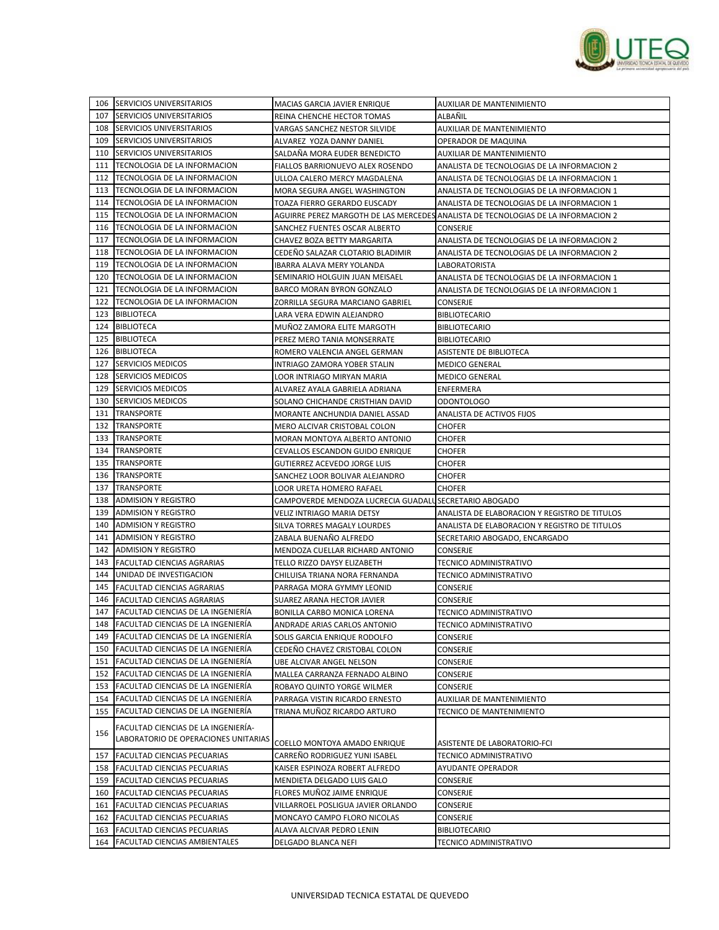

|     | 106 SERVICIOS UNIVERSITARIOS           | MACIAS GARCIA JAVIER ENRIQUE                              | AUXILIAR DE MANTENIMIENTO                                                         |
|-----|----------------------------------------|-----------------------------------------------------------|-----------------------------------------------------------------------------------|
| 107 | <b>SERVICIOS UNIVERSITARIOS</b>        | REINA CHENCHE HECTOR TOMAS                                | ALBAÑIL                                                                           |
| 108 | SERVICIOS UNIVERSITARIOS               | VARGAS SANCHEZ NESTOR SILVIDE                             | AUXILIAR DE MANTENIMIENTO                                                         |
| 109 | SERVICIOS UNIVERSITARIOS               | ALVAREZ YOZA DANNY DANIEL                                 | OPERADOR DE MAQUINA                                                               |
| 110 | SERVICIOS UNIVERSITARIOS               | SALDAÑA MORA EUDER BENEDICTO                              | AUXILIAR DE MANTENIMIENTO                                                         |
| 111 | TECNOLOGIA DE LA INFORMACION           | FIALLOS BARRIONUEVO ALEX ROSENDO                          | ANALISTA DE TECNOLOGIAS DE LA INFORMACION 2                                       |
| 112 | TECNOLOGIA DE LA INFORMACION           | ULLOA CALERO MERCY MAGDALENA                              | ANALISTA DE TECNOLOGIAS DE LA INFORMACION 1                                       |
| 113 | TECNOLOGIA DE LA INFORMACION           | MORA SEGURA ANGEL WASHINGTON                              | ANALISTA DE TECNOLOGIAS DE LA INFORMACION 1                                       |
| 114 | TECNOLOGIA DE LA INFORMACION           | TOAZA FIERRO GERARDO EUSCADY                              | ANALISTA DE TECNOLOGIAS DE LA INFORMACION 1                                       |
| 115 | TECNOLOGIA DE LA INFORMACION           |                                                           | AGUIRRE PEREZ MARGOTH DE LAS MERCEDES ANALISTA DE TECNOLOGIAS DE LA INFORMACION 2 |
| 116 | TECNOLOGIA DE LA INFORMACION           | SANCHEZ FUENTES OSCAR ALBERTO                             | <b>CONSERJE</b>                                                                   |
| 117 | TECNOLOGIA DE LA INFORMACION           | CHAVEZ BOZA BETTY MARGARITA                               | ANALISTA DE TECNOLOGIAS DE LA INFORMACION 2                                       |
| 118 | TECNOLOGIA DE LA INFORMACION           | CEDENO SALAZAR CLOTARIO BLADIMIR                          | ANALISTA DE TECNOLOGIAS DE LA INFORMACION 2                                       |
| 119 | TECNOLOGIA DE LA INFORMACION           | IBARRA ALAVA MERY YOLANDA                                 | LABORATORISTA                                                                     |
| 120 | TECNOLOGIA DE LA INFORMACION           | SEMINARIO HOLGUIN JUAN MEISAEL                            | ANALISTA DE TECNOLOGIAS DE LA INFORMACION 1                                       |
| 121 | TECNOLOGIA DE LA INFORMACION           | BARCO MORAN BYRON GONZALO                                 | ANALISTA DE TECNOLOGIAS DE LA INFORMACION 1                                       |
| 122 | TECNOLOGIA DE LA INFORMACION           | ZORRILLA SEGURA MARCIANO GABRIEL                          | CONSERJE                                                                          |
| 123 | <b>BIBLIOTECA</b>                      | LARA VERA EDWIN ALEJANDRO                                 |                                                                                   |
|     |                                        |                                                           | <b>BIBLIOTECARIO</b><br><b>BIBLIOTECARIO</b>                                      |
| 124 | <b>BIBLIOTECA</b>                      | MUÑOZ ZAMORA ELITE MARGOTH<br>PEREZ MERO TANIA MONSERRATE |                                                                                   |
| 125 | <b>BIBLIOTECA</b>                      |                                                           | <b>BIBLIOTECARIO</b>                                                              |
| 126 | <b>BIBLIOTECA</b>                      | ROMERO VALENCIA ANGEL GERMAN                              | ASISTENTE DE BIBLIOTECA                                                           |
| 127 | <b>SERVICIOS MEDICOS</b>               | INTRIAGO ZAMORA YOBER STALIN                              | <b>MEDICO GENERAL</b>                                                             |
| 128 | <b>SERVICIOS MEDICOS</b>               | LOOR INTRIAGO MIRYAN MARIA                                | <b>MEDICO GENERAL</b>                                                             |
| 129 | <b>SERVICIOS MEDICOS</b>               | ALVAREZ AYALA GABRIELA ADRIANA                            | ENFERMERA                                                                         |
| 130 | <b>SERVICIOS MEDICOS</b>               | SOLANO CHICHANDE CRISTHIAN DAVID                          | <b>ODONTOLOGO</b>                                                                 |
| 131 | <b>TRANSPORTE</b>                      | MORANTE ANCHUNDIA DANIEL ASSAD                            | ANALISTA DE ACTIVOS FIJOS                                                         |
| 132 | <b>TRANSPORTE</b>                      | MERO ALCIVAR CRISTOBAL COLON                              | <b>CHOFER</b>                                                                     |
| 133 | <b>TRANSPORTE</b>                      | MORAN MONTOYA ALBERTO ANTONIO                             | <b>CHOFER</b>                                                                     |
| 134 | TRANSPORTE                             | CEVALLOS ESCANDON GUIDO ENRIQUE                           | <b>CHOFER</b>                                                                     |
| 135 | TRANSPORTE                             | GUTIERREZ ACEVEDO JORGE LUIS                              | <b>CHOFER</b>                                                                     |
| 136 | <b>TRANSPORTE</b>                      | SANCHEZ LOOR BOLIVAR ALEJANDRO                            | <b>CHOFER</b>                                                                     |
| 137 | <b>TRANSPORTE</b>                      | LOOR URETA HOMERO RAFAEL                                  | <b>CHOFER</b>                                                                     |
| 138 | <b>ADMISION Y REGISTRO</b>             | CAMPOVERDE MENDOZA LUCRECIA GUADALU SECRETARIO ABOGADO    |                                                                                   |
| 139 | <b>ADMISION Y REGISTRO</b>             | VELIZ INTRIAGO MARIA DETSY                                | ANALISTA DE ELABORACION Y REGISTRO DE TITULOS                                     |
| 140 | <b>ADMISION Y REGISTRO</b>             | SILVA TORRES MAGALY LOURDES                               | ANALISTA DE ELABORACION Y REGISTRO DE TITULOS                                     |
| 141 | <b>ADMISION Y REGISTRO</b>             | ZABALA BUENAÑO ALFREDO                                    | SECRETARIO ABOGADO, ENCARGADO                                                     |
| 142 | <b>ADMISION Y REGISTRO</b>             | MENDOZA CUELLAR RICHARD ANTONIO                           | CONSERJE                                                                          |
| 143 | FACULTAD CIENCIAS AGRARIAS             | TELLO RIZZO DAYSY ELIZABETH                               | TECNICO ADMINISTRATIVO                                                            |
| 144 | UNIDAD DE INVESTIGACION                | CHILUISA TRIANA NORA FERNANDA                             | TECNICO ADMINISTRATIVO                                                            |
| 145 | <b>FACULTAD CIENCIAS AGRARIAS</b>      | PARRAGA MORA GYMMY LEONID                                 | CONSERJE                                                                          |
| 146 | <b>FACULTAD CIENCIAS AGRARIAS</b>      | SUAREZ ARANA HECTOR JAVIER                                | CONSERJE                                                                          |
| 147 | FACULTAD CIENCIAS DE LA INGENIERÍA     | BONILLA CARBO MONICA LORENA                               | TECNICO ADMINISTRATIVO                                                            |
|     | 148 FACULTAD CIENCIAS DE LA INGENIERÍA | ANDRADE ARIAS CARLOS ANTONIO                              | TECNICO ADMINISTRATIVO                                                            |
|     | 149 FACULTAD CIENCIAS DE LA INGENIERÍA | SOLIS GARCIA ENRIQUE RODOLFO                              | CONSERJE                                                                          |
|     | 150 FACULTAD CIENCIAS DE LA INGENIERÍA | CEDEÑO CHAVEZ CRISTOBAL COLON                             | CONSERJE                                                                          |
|     | 151 FACULTAD CIENCIAS DE LA INGENIERÍA | UBE ALCIVAR ANGEL NELSON                                  | CONSERJE                                                                          |
| 152 | FACULTAD CIENCIAS DE LA INGENIERÍA     | MALLEA CARRANZA FERNADO ALBINO                            | CONSERJE                                                                          |
| 153 | FACULTAD CIENCIAS DE LA INGENIERÍA     | ROBAYO QUINTO YORGE WILMER                                | CONSERJE                                                                          |
| 154 | FACULTAD CIENCIAS DE LA INGENIERÍA     | PARRAGA VISTIN RICARDO ERNESTO                            | AUXILIAR DE MANTENIMIENTO                                                         |
| 155 | FACULTAD CIENCIAS DE LA INGENIERÍA     | TRIANA MUÑOZ RICARDO ARTURO                               | TECNICO DE MANTENIMIENTO                                                          |
|     |                                        |                                                           |                                                                                   |
| 156 | FACULTAD CIENCIAS DE LA INGENIERÍA-    |                                                           |                                                                                   |
|     | LABORATORIO DE OPERACIONES UNITARIAS   | COELLO MONTOYA AMADO ENRIQUE                              | ASISTENTE DE LABORATORIO-FCI                                                      |
| 157 | FACULTAD CIENCIAS PECUARIAS            | CARREÑO RODRIGUEZ YUNI ISABEL                             | TECNICO ADMINISTRATIVO                                                            |
|     | 158 FACULTAD CIENCIAS PECUARIAS        | KAISER ESPINOZA ROBERT ALFREDO                            | AYUDANTE OPERADOR                                                                 |
| 159 | FACULTAD CIENCIAS PECUARIAS            | MENDIETA DELGADO LUIS GALO                                | CONSERJE                                                                          |
| 160 | FACULTAD CIENCIAS PECUARIAS            | FLORES MUÑOZ JAIME ENRIQUE                                | CONSERJE                                                                          |
| 161 | FACULTAD CIENCIAS PECUARIAS            | VILLARROEL POSLIGUA JAVIER ORLANDO                        | CONSERJE                                                                          |
| 162 | FACULTAD CIENCIAS PECUARIAS            | MONCAYO CAMPO FLORO NICOLAS                               | CONSERJE                                                                          |
| 163 | FACULTAD CIENCIAS PECUARIAS            | ALAVA ALCIVAR PEDRO LENIN                                 | <b>BIBLIOTECARIO</b>                                                              |
|     | 164 FACULTAD CIENCIAS AMBIENTALES      | DELGADO BLANCA NEFI                                       | TECNICO ADMINISTRATIVO                                                            |
|     |                                        |                                                           |                                                                                   |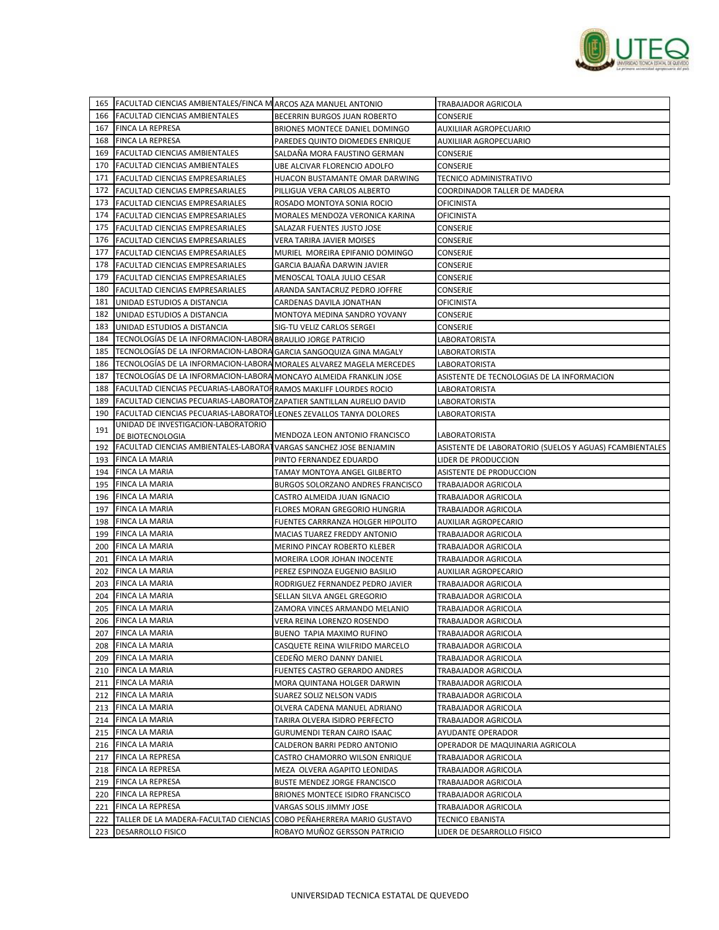

|     | 165 FACULTAD CIENCIAS AMBIENTALES/FINCA M ARCOS AZA MANUEL ANTONIO     |                                     | TRABAJADOR AGRICOLA                                     |
|-----|------------------------------------------------------------------------|-------------------------------------|---------------------------------------------------------|
|     | 166 FACULTAD CIENCIAS AMBIENTALES                                      | <b>BECERRIN BURGOS JUAN ROBERTO</b> | CONSERJE                                                |
| 167 | FINCA LA REPRESA                                                       | BRIONES MONTECE DANIEL DOMINGO      | <b>AUXILIIAR AGROPECUARIO</b>                           |
| 168 | <b>FINCA LA REPRESA</b>                                                | PAREDES QUINTO DIOMEDES ENRIQUE     | AUXILIIAR AGROPECUARIO                                  |
| 169 | <b>FACULTAD CIENCIAS AMBIENTALES</b>                                   | SALDAÑA MORA FAUSTINO GERMAN        | CONSERJE                                                |
| 170 | <b>FACULTAD CIENCIAS AMBIENTALES</b>                                   | UBE ALCIVAR FLORENCIO ADOLFO        | CONSERJE                                                |
| 171 | <b>FACULTAD CIENCIAS EMPRESARIALES</b>                                 | HUACON BUSTAMANTE OMAR DARWING      | TECNICO ADMINISTRATIVO                                  |
| 172 | <b>FACULTAD CIENCIAS EMPRESARIALES</b>                                 | PILLIGUA VERA CARLOS ALBERTO        | COORDINADOR TALLER DE MADERA                            |
| 173 | <b>FACULTAD CIENCIAS EMPRESARIALES</b>                                 | ROSADO MONTOYA SONIA ROCIO          | OFICINISTA                                              |
|     | 174 FACULTAD CIENCIAS EMPRESARIALES                                    | MORALES MENDOZA VERONICA KARINA     | OFICINISTA                                              |
| 175 | FACULTAD CIENCIAS EMPRESARIALES                                        | SALAZAR FUENTES JUSTO JOSE          | CONSERJE                                                |
|     | 176 FACULTAD CIENCIAS EMPRESARIALES                                    | VERA TARIRA JAVIER MOISES           | CONSERJE                                                |
|     |                                                                        |                                     |                                                         |
| 177 | FACULTAD CIENCIAS EMPRESARIALES                                        | MURIEL MOREIRA EPIFANIO DOMINGO     | CONSERJE                                                |
| 178 | <b>FACULTAD CIENCIAS EMPRESARIALES</b>                                 | GARCIA BAJAÑA DARWIN JAVIER         | CONSERJE                                                |
| 179 | <b>FACULTAD CIENCIAS EMPRESARIALES</b>                                 | MENOSCAL TOALA JULIO CESAR          | CONSERJE                                                |
| 180 | FACULTAD CIENCIAS EMPRESARIALES                                        | ARANDA SANTACRUZ PEDRO JOFFRE       | CONSERJE                                                |
| 181 | UNIDAD ESTUDIOS A DISTANCIA                                            | CARDENAS DAVILA JONATHAN            | OFICINISTA                                              |
| 182 | UNIDAD ESTUDIOS A DISTANCIA                                            | MONTOYA MEDINA SANDRO YOVANY        | CONSERJE                                                |
| 183 | UNIDAD ESTUDIOS A DISTANCIA                                            | SIG-TU VELIZ CARLOS SERGEI          | <b>CONSERJE</b>                                         |
| 184 | TECNOLOGIAS DE LA INFORMACION-LABORA BRAULIO JORGE PATRICIO            |                                     | LABORATORISTA                                           |
| 185 | TECNOLOGÍAS DE LA INFORMACION-LABORA GARCIA SANGOQUIZA GINA MAGALY     |                                     | LABORATORISTA                                           |
| 186 | TECNOLOGÍAS DE LA INFORMACION-LABORA MORALES ALVAREZ MAGELA MERCEDES   |                                     | LABORATORISTA                                           |
| 187 | TECNOLOGÍAS DE LA INFORMACION-LABORA MONCAYO ALMEIDA FRANKLIN JOSE     |                                     | ASISTENTE DE TECNOLOGIAS DE LA INFORMACION              |
| 188 | FACULTAD CIENCIAS PECUARIAS-LABORATOR RAMOS MAKLIFF LOURDES ROCIO      |                                     | LABORATORISTA                                           |
| 189 | FACULTAD CIENCIAS PECUARIAS-LABORATORZAPATIER SANTILLAN AURELIO DAVID  |                                     | LABORATORISTA                                           |
| 190 | FACULTAD CIENCIAS PECUARIAS-LABORATORLEONES ZEVALLOS TANYA DOLORES     |                                     | LABORATORISTA                                           |
| 191 | UNIDAD DE INVESTIGACION-LABORATORIO<br>DE BIOTECNOLOGIA                | MENDOZA LEON ANTONIO FRANCISCO      | LABORATORISTA                                           |
|     | 192 FACULTAD CIENCIAS AMBIENTALES-LABORAT VARGAS SANCHEZ JOSE BENJAMIN |                                     | ASISTENTE DE LABORATORIO (SUELOS Y AGUAS) FCAMBIENTALES |
| 193 | <b>FINCA LA MARIA</b>                                                  | PINTO FERNANDEZ EDUARDO             | LIDER DE PRODUCCION                                     |
|     | 194 FINCA LA MARIA                                                     | TAMAY MONTOYA ANGEL GILBERTO        | ASISTENTE DE PRODUCCION                                 |
| 195 | <b>FINCA LA MARIA</b>                                                  | BURGOS SOLORZANO ANDRES FRANCISCO   | TRABAJADOR AGRICOLA                                     |
| 196 | <b>FINCA LA MARIA</b>                                                  | CASTRO ALMEIDA JUAN IGNACIO         | TRABAJADOR AGRICOLA                                     |
| 197 | <b>FINCA LA MARIA</b>                                                  | FLORES MORAN GREGORIO HUNGRIA       | TRABAJADOR AGRICOLA                                     |
| 198 | <b>FINCA LA MARIA</b>                                                  | FUENTES CARRRANZA HOLGER HIPOLITO   | AUXILIAR AGROPECARIO                                    |
| 199 | FINCA LA MARIA                                                         | MACIAS TUAREZ FREDDY ANTONIO        | TRABAJADOR AGRICOLA                                     |
| 200 | <b>FINCA LA MARIA</b>                                                  | MERINO PINCAY ROBERTO KLEBER        | TRABAJADOR AGRICOLA                                     |
| 201 | <b>FINCA LA MARIA</b>                                                  | MOREIRA LOOR JOHAN INOCENTE         | TRABAJADOR AGRICOLA                                     |
| 202 | <b>FINCA LA MARIA</b>                                                  | PEREZ ESPINOZA EUGENIO BASILIO      | AUXILIAR AGROPECARIO                                    |
| 203 | <b>FINCA LA MARIA</b>                                                  | RODRIGUEZ FERNANDEZ PEDRO JAVIER    | TRABAJADOR AGRICOLA                                     |
| 204 | <b>FINCA LA MARIA</b>                                                  | SELLAN SILVA ANGEL GREGORIO         | TRABAJADOR AGRICOLA                                     |
| 205 | <b>FINCA LA MARIA</b>                                                  | ZAMORA VINCES ARMANDO MELANIO       | TRABAJADOR AGRICOLA                                     |
|     | 206 FINCA LA MARIA                                                     | VERA REINA LORENZO ROSENDO          | TRABAJADOR AGRICOLA                                     |
|     | 207 FINCA LA MARIA                                                     | BUENO TAPIA MAXIMO RUFINO           | TRABAJADOR AGRICOLA                                     |
|     | 208 FINCA LA MARIA                                                     | CASQUETE REINA WILFRIDO MARCELO     | TRABAJADOR AGRICOLA                                     |
|     |                                                                        | CEDEÑO MERO DANNY DANIEL            |                                                         |
|     | 209 FINCA LA MARIA                                                     |                                     | TRABAJADOR AGRICOLA                                     |
|     | 210 FINCA LA MARIA                                                     | FUENTES CASTRO GERARDO ANDRES       | TRABAJADOR AGRICOLA                                     |
|     | 211 FINCA LA MARIA                                                     | MORA QUINTANA HOLGER DARWIN         | TRABAJADOR AGRICOLA                                     |
|     | 212 FINCA LA MARIA                                                     | SUAREZ SOLIZ NELSON VADIS           | TRABAJADOR AGRICOLA                                     |
|     | 213 FINCA LA MARIA                                                     | OLVERA CADENA MANUEL ADRIANO        | TRABAJADOR AGRICOLA                                     |
|     | 214 FINCA LA MARIA                                                     | TARIRA OLVERA ISIDRO PERFECTO       | TRABAJADOR AGRICOLA                                     |
|     | 215 FINCA LA MARIA                                                     | GURUMENDI TERAN CAIRO ISAAC         | AYUDANTE OPERADOR                                       |
|     | 216 FINCA LA MARIA                                                     | CALDERON BARRI PEDRO ANTONIO        | OPERADOR DE MAQUINARIA AGRICOLA                         |
|     | 217 FINCA LA REPRESA                                                   | CASTRO CHAMORRO WILSON ENRIQUE      | TRABAJADOR AGRICOLA                                     |
|     | 218 FINCA LA REPRESA                                                   | MEZA OLVERA AGAPITO LEONIDAS        | TRABAJADOR AGRICOLA                                     |
|     | 219   FINCA LA REPRESA                                                 | BUSTE MENDEZ JORGE FRANCISCO        | TRABAJADOR AGRICOLA                                     |
|     | 220 FINCA LA REPRESA                                                   | BRIONES MONTECE ISIDRO FRANCISCO    | TRABAJADOR AGRICOLA                                     |
| 221 | <b>FINCA LA REPRESA</b>                                                | VARGAS SOLIS JIMMY JOSE             | TRABAJADOR AGRICOLA                                     |
| 222 | TALLER DE LA MADERA-FACULTAD CIENCIAS COBO PEÑAHERRERA MARIO GUSTAVO   |                                     | TECNICO EBANISTA                                        |
|     | 223 DESARROLLO FISICO                                                  | ROBAYO MUÑOZ GERSSON PATRICIO       | LIDER DE DESARROLLO FISICO                              |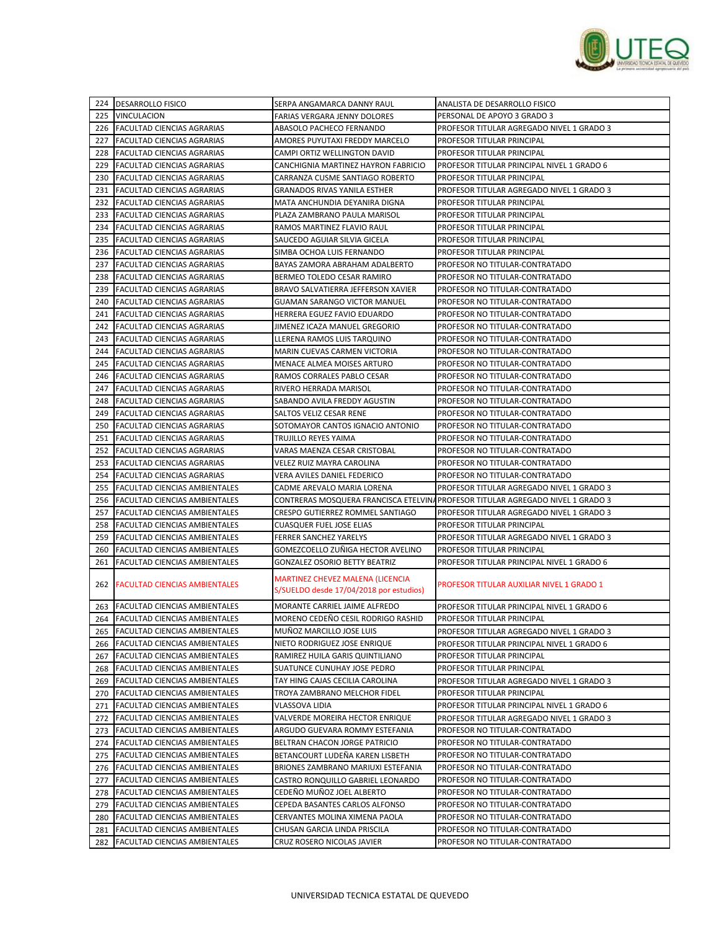

|            | 224 DESARROLLO FISICO                | SERPA ANGAMARCA DANNY RAUL                                                         | ANALISTA DE DESARROLLO FISICO                                                  |
|------------|--------------------------------------|------------------------------------------------------------------------------------|--------------------------------------------------------------------------------|
| 225        | <b>VINCULACION</b>                   | FARIAS VERGARA JENNY DOLORES                                                       | PERSONAL DE APOYO 3 GRADO 3                                                    |
| 226        | <b>FACULTAD CIENCIAS AGRARIAS</b>    | ABASOLO PACHECO FERNANDO                                                           | PROFESOR TITULAR AGREGADO NIVEL 1 GRADO 3                                      |
| 227        | <b>FACULTAD CIENCIAS AGRARIAS</b>    | AMORES PUYUTAXI FREDDY MARCELO                                                     | PROFESOR TITULAR PRINCIPAL                                                     |
| 228        | FACULTAD CIENCIAS AGRARIAS           | CAMPI ORTIZ WELLINGTON DAVID                                                       | PROFESOR TITULAR PRINCIPAL                                                     |
| 229        | FACULTAD CIENCIAS AGRARIAS           | CANCHIGNIA MARTINEZ HAYRON FABRICIO                                                | PROFESOR TITULAR PRINCIPAL NIVEL 1 GRADO 6                                     |
| 230        | FACULTAD CIENCIAS AGRARIAS           | CARRANZA CUSME SANTIAGO ROBERTO                                                    | PROFESOR TITULAR PRINCIPAL                                                     |
| 231        | <b>FACULTAD CIENCIAS AGRARIAS</b>    | <b>GRANADOS RIVAS YANILA ESTHER</b>                                                | PROFESOR TITULAR AGREGADO NIVEL 1 GRADO 3                                      |
| 232        | <b>FACULTAD CIENCIAS AGRARIAS</b>    | MATA ANCHUNDIA DEYANIRA DIGNA                                                      | PROFESOR TITULAR PRINCIPAL                                                     |
| 233        | <b>FACULTAD CIENCIAS AGRARIAS</b>    | PLAZA ZAMBRANO PAULA MARISOL                                                       | PROFESOR TITULAR PRINCIPAL                                                     |
| 234        | <b>FACULTAD CIENCIAS AGRARIAS</b>    | RAMOS MARTINEZ FLAVIO RAUL                                                         | PROFESOR TITULAR PRINCIPAL                                                     |
| 235        | <b>FACULTAD CIENCIAS AGRARIAS</b>    | SAUCEDO AGUIAR SILVIA GICELA                                                       | PROFESOR TITULAR PRINCIPAL                                                     |
|            |                                      | SIMBA OCHOA LUIS FERNANDO                                                          |                                                                                |
| 236<br>237 | <b>FACULTAD CIENCIAS AGRARIAS</b>    | BAYAS ZAMORA ABRAHAM ADALBERTO                                                     | PROFESOR TITULAR PRINCIPAL<br>PROFESOR NO TITULAR-CONTRATADO                   |
|            | FACULTAD CIENCIAS AGRARIAS           |                                                                                    |                                                                                |
| 238        | <b>FACULTAD CIENCIAS AGRARIAS</b>    | BERMEO TOLEDO CESAR RAMIRO                                                         | PROFESOR NO TITULAR-CONTRATADO                                                 |
| 239        | FACULTAD CIENCIAS AGRARIAS           | BRAVO SALVATIERRA JEFFERSON XAVIER                                                 | PROFESOR NO TITULAR-CONTRATADO                                                 |
| 240        | FACULTAD CIENCIAS AGRARIAS           | GUAMAN SARANGO VICTOR MANUEL                                                       | PROFESOR NO TITULAR-CONTRATADO                                                 |
| 241        | FACULTAD CIENCIAS AGRARIAS           | HERRERA EGUEZ FAVIO EDUARDO                                                        | PROFESOR NO TITULAR-CONTRATADO                                                 |
| 242        | FACULTAD CIENCIAS AGRARIAS           | JIMENEZ ICAZA MANUEL GREGORIO                                                      | PROFESOR NO TITULAR-CONTRATADO                                                 |
| 243        | <b>FACULTAD CIENCIAS AGRARIAS</b>    | LLERENA RAMOS LUIS TARQUINO                                                        | PROFESOR NO TITULAR-CONTRATADO                                                 |
| 244        | <b>FACULTAD CIENCIAS AGRARIAS</b>    | MARIN CUEVAS CARMEN VICTORIA                                                       | PROFESOR NO TITULAR-CONTRATADO                                                 |
| 245        | FACULTAD CIENCIAS AGRARIAS           | MENACE ALMEA MOISES ARTURO                                                         | PROFESOR NO TITULAR-CONTRATADO                                                 |
| 246        | FACULTAD CIENCIAS AGRARIAS           | RAMOS CORRALES PABLO CESAR                                                         | PROFESOR NO TITULAR-CONTRATADO                                                 |
| 247        | FACULTAD CIENCIAS AGRARIAS           | RIVERO HERRADA MARISOL                                                             | PROFESOR NO TITULAR-CONTRATADO                                                 |
| 248        | <b>FACULTAD CIENCIAS AGRARIAS</b>    | SABANDO AVILA FREDDY AGUSTIN                                                       | PROFESOR NO TITULAR-CONTRATADO                                                 |
| 249        | <b>FACULTAD CIENCIAS AGRARIAS</b>    | SALTOS VELIZ CESAR RENE                                                            | PROFESOR NO TITULAR-CONTRATADO                                                 |
| 250        | FACULTAD CIENCIAS AGRARIAS           | SOTOMAYOR CANTOS IGNACIO ANTONIO                                                   | PROFESOR NO TITULAR-CONTRATADO                                                 |
| 251        | <b>FACULTAD CIENCIAS AGRARIAS</b>    | TRUJILLO REYES YAIMA                                                               | PROFESOR NO TITULAR-CONTRATADO                                                 |
| 252        | FACULTAD CIENCIAS AGRARIAS           | VARAS MAENZA CESAR CRISTOBAL                                                       | PROFESOR NO TITULAR-CONTRATADO                                                 |
| 253        | FACULTAD CIENCIAS AGRARIAS           | VELEZ RUIZ MAYRA CAROLINA                                                          | PROFESOR NO TITULAR-CONTRATADO                                                 |
| 254        | <b>FACULTAD CIENCIAS AGRARIAS</b>    | VERA AVILES DANIEL FEDERICO                                                        | PROFESOR NO TITULAR-CONTRATADO                                                 |
| 255        | FACULTAD CIENCIAS AMBIENTALES        | CADME AREVALO MARIA LORENA                                                         | PROFESOR TITULAR AGREGADO NIVEL 1 GRADO 3                                      |
| 256        | <b>FACULTAD CIENCIAS AMBIENTALES</b> |                                                                                    | CONTRERAS MOSQUERA FRANCISCA ETELVINAPROFESOR TITULAR AGREGADO NIVEL 1 GRADO 3 |
| 257        | <b>FACULTAD CIENCIAS AMBIENTALES</b> | CRESPO GUTIERREZ ROMMEL SANTIAGO                                                   | PROFESOR TITULAR AGREGADO NIVEL 1 GRADO 3                                      |
| 258        | FACULTAD CIENCIAS AMBIENTALES        | CUASQUER FUEL JOSE ELIAS                                                           | PROFESOR TITULAR PRINCIPAL                                                     |
| 259        | <b>FACULTAD CIENCIAS AMBIENTALES</b> | FERRER SANCHEZ YARELYS                                                             | PROFESOR TITULAR AGREGADO NIVEL 1 GRADO 3                                      |
| 260        | FACULTAD CIENCIAS AMBIENTALES        | GOMEZCOELLO ZUÑIGA HECTOR AVELINO                                                  | PROFESOR TITULAR PRINCIPAL                                                     |
| 261        | FACULTAD CIENCIAS AMBIENTALES        | GONZALEZ OSORIO BETTY BEATRIZ                                                      | PROFESOR TITULAR PRINCIPAL NIVEL 1 GRADO 6                                     |
|            | 262 FACULTAD CIENCIAS AMBIENTALES    | <b>MARTINEZ CHEVEZ MALENA (LICENCIA</b><br>S/SUELDO desde 17/04/2018 por estudios) | <b>PROFESOR TITULAR AUXILIAR NIVEL 1 GRADO 1</b>                               |
| 263        | <b>FACULTAD CIENCIAS AMBIENTALES</b> | MORANTE CARRIEL JAIME ALFREDO                                                      | PROFESOR TITULAR PRINCIPAL NIVEL 1 GRADO 6                                     |
|            | 264 FACULTAD CIENCIAS AMBIENTALES    | MORENO CEDEÑO CESIL RODRIGO RASHID                                                 | PROFESOR TITULAR PRINCIPAL                                                     |
| 265        | <b>FACULTAD CIENCIAS AMBIENTALES</b> | MUÑOZ MARCILLO JOSE LUIS                                                           | PROFESOR TITULAR AGREGADO NIVEL 1 GRADO 3                                      |
|            | 266 FACULTAD CIENCIAS AMBIENTALES    | NIETO RODRIGUEZ JOSE ENRIQUE                                                       | PROFESOR TITULAR PRINCIPAL NIVEL 1 GRADO 6                                     |
| 267        | FACULTAD CIENCIAS AMBIENTALES        | RAMIREZ HUILA GARIS QUINTILIANO                                                    | PROFESOR TITULAR PRINCIPAL                                                     |
| 268        | FACULTAD CIENCIAS AMBIENTALES        | SUATUNCE CUNUHAY JOSE PEDRO                                                        | PROFESOR TITULAR PRINCIPAL                                                     |
| 269        | FACULTAD CIENCIAS AMBIENTALES        | TAY HING CAJAS CECILIA CAROLINA                                                    | PROFESOR TITULAR AGREGADO NIVEL 1 GRADO 3                                      |
| 270        | <b>FACULTAD CIENCIAS AMBIENTALES</b> | TROYA ZAMBRANO MELCHOR FIDEL                                                       | PROFESOR TITULAR PRINCIPAL                                                     |
| 271        | FACULTAD CIENCIAS AMBIENTALES        | VLASSOVA LIDIA                                                                     | PROFESOR TITULAR PRINCIPAL NIVEL 1 GRADO 6                                     |
|            | 272 FACULTAD CIENCIAS AMBIENTALES    | VALVERDE MOREIRA HECTOR ENRIQUE                                                    | PROFESOR TITULAR AGREGADO NIVEL 1 GRADO 3                                      |
|            | 273 FACULTAD CIENCIAS AMBIENTALES    | ARGUDO GUEVARA ROMMY ESTEFANIA                                                     | PROFESOR NO TITULAR-CONTRATADO                                                 |
| 274        | <b>FACULTAD CIENCIAS AMBIENTALES</b> | BELTRAN CHACON JORGE PATRICIO                                                      | PROFESOR NO TITULAR-CONTRATADO                                                 |
| 275        | FACULTAD CIENCIAS AMBIENTALES        | BETANCOURT LUDEÑA KAREN LISBETH                                                    | PROFESOR NO TITULAR-CONTRATADO                                                 |
|            | 276 FACULTAD CIENCIAS AMBIENTALES    | BRIONES ZAMBRANO MARIUXI ESTEFANIA                                                 | PROFESOR NO TITULAR-CONTRATADO                                                 |
|            | 277   FACULTAD CIENCIAS AMBIENTALES  | CASTRO RONQUILLO GABRIEL LEONARDO                                                  | PROFESOR NO TITULAR-CONTRATADO                                                 |
| 278        | FACULTAD CIENCIAS AMBIENTALES        | CEDEÑO MUÑOZ JOEL ALBERTO                                                          | PROFESOR NO TITULAR-CONTRATADO                                                 |
| 279        | <b>FACULTAD CIENCIAS AMBIENTALES</b> | CEPEDA BASANTES CARLOS ALFONSO                                                     | PROFESOR NO TITULAR-CONTRATADO                                                 |
| 280        | FACULTAD CIENCIAS AMBIENTALES        | CERVANTES MOLINA XIMENA PAOLA                                                      | PROFESOR NO TITULAR-CONTRATADO                                                 |
|            |                                      |                                                                                    |                                                                                |
|            | 281 FACULTAD CIENCIAS AMBIENTALES    | CHUSAN GARCIA LINDA PRISCILA                                                       | PROFESOR NO TITULAR-CONTRATADO                                                 |
|            | 282 FACULTAD CIENCIAS AMBIENTALES    | CRUZ ROSERO NICOLAS JAVIER                                                         | PROFESOR NO TITULAR-CONTRATADO                                                 |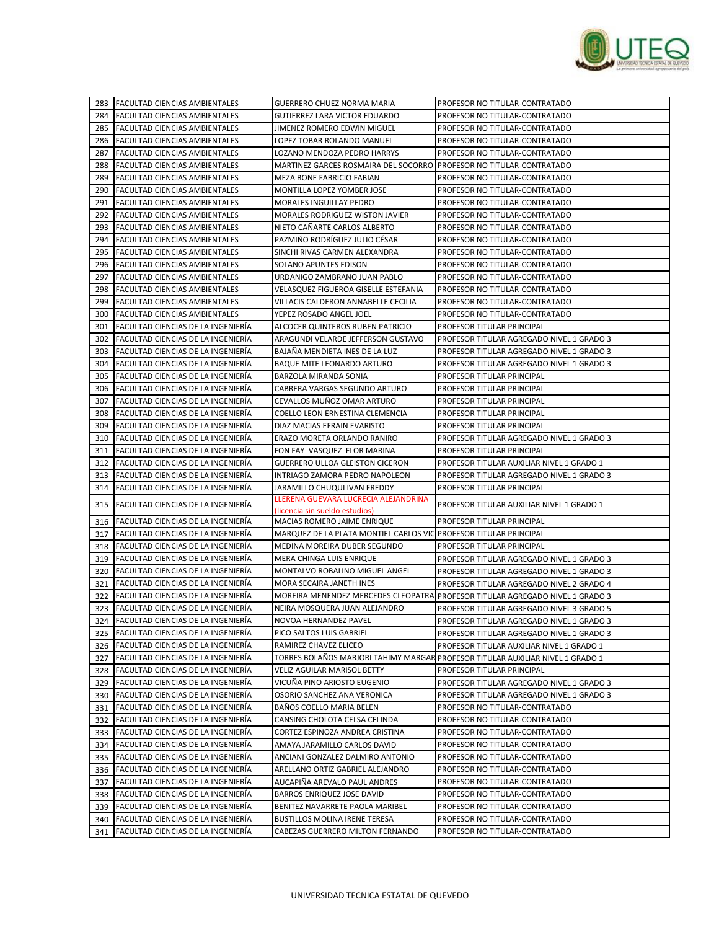

|            | 283 FACULTAD CIENCIAS AMBIENTALES                                        | GUERRERO CHUEZ NORMA MARIA                                           | PROFESOR NO TITULAR-CONTRATADO                                                                                             |
|------------|--------------------------------------------------------------------------|----------------------------------------------------------------------|----------------------------------------------------------------------------------------------------------------------------|
| 284        | <b>FACULTAD CIENCIAS AMBIENTALES</b>                                     | GUTIERREZ LARA VICTOR EDUARDO                                        | PROFESOR NO TITULAR-CONTRATADO                                                                                             |
| 285        | FACULTAD CIENCIAS AMBIENTALES                                            | JIMENEZ ROMERO EDWIN MIGUEL                                          | PROFESOR NO TITULAR-CONTRATADO                                                                                             |
| 286        | <b>FACULTAD CIENCIAS AMBIENTALES</b>                                     | LOPEZ TOBAR ROLANDO MANUEL                                           | PROFESOR NO TITULAR-CONTRATADO                                                                                             |
| 287        | FACULTAD CIENCIAS AMBIENTALES                                            | LOZANO MENDOZA PEDRO HARRYS                                          | PROFESOR NO TITULAR-CONTRATADO                                                                                             |
| 288        | FACULTAD CIENCIAS AMBIENTALES                                            | MARTINEZ GARCES ROSMAIRA DEL SOCORRO (PROFESOR NO TITULAR-CONTRATADO |                                                                                                                            |
| 289        | FACULTAD CIENCIAS AMBIENTALES                                            | MEZA BONE FABRICIO FABIAN                                            | PROFESOR NO TITULAR-CONTRATADO                                                                                             |
| 290        | <b>FACULTAD CIENCIAS AMBIENTALES</b>                                     | MONTILLA LOPEZ YOMBER JOSE                                           | PROFESOR NO TITULAR-CONTRATADO                                                                                             |
| 291        | <b>FACULTAD CIENCIAS AMBIENTALES</b>                                     | MORALES INGUILLAY PEDRO                                              | PROFESOR NO TITULAR-CONTRATADO                                                                                             |
| 292        | <b>FACULTAD CIENCIAS AMBIENTALES</b>                                     | MORALES RODRIGUEZ WISTON JAVIER                                      | PROFESOR NO TITULAR-CONTRATADO                                                                                             |
| 293        | FACULTAD CIENCIAS AMBIENTALES                                            | NIETO CAÑARTE CARLOS ALBERTO                                         | PROFESOR NO TITULAR-CONTRATADO                                                                                             |
| 294        | <b>FACULTAD CIENCIAS AMBIENTALES</b>                                     | PAZMIÑO RODRÍGUEZ JULIO CÉSAR                                        | PROFESOR NO TITULAR-CONTRATADO                                                                                             |
| 295        | <b>FACULTAD CIENCIAS AMBIENTALES</b>                                     | SINCHI RIVAS CARMEN ALEXANDRA                                        | PROFESOR NO TITULAR-CONTRATADO                                                                                             |
| 296        | <b>FACULTAD CIENCIAS AMBIENTALES</b>                                     | SOLANO APUNTES EDISON                                                | PROFESOR NO TITULAR-CONTRATADO                                                                                             |
| 297        | <b>FACULTAD CIENCIAS AMBIENTALES</b>                                     | URDANIGO ZAMBRANO JUAN PABLO                                         | PROFESOR NO TITULAR-CONTRATADO                                                                                             |
| 298        | <b>FACULTAD CIENCIAS AMBIENTALES</b>                                     | VELASQUEZ FIGUEROA GISELLE ESTEFANIA                                 | PROFESOR NO TITULAR-CONTRATADO                                                                                             |
| 299        | FACULTAD CIENCIAS AMBIENTALES                                            | VILLACIS CALDERON ANNABELLE CECILIA                                  | PROFESOR NO TITULAR-CONTRATADO                                                                                             |
| 300        | <b>FACULTAD CIENCIAS AMBIENTALES</b>                                     | YEPEZ ROSADO ANGEL JOEL                                              | PROFESOR NO TITULAR-CONTRATADO                                                                                             |
| 301        | FACULTAD CIENCIAS DE LA INGENIERÍA                                       | ALCOCER QUINTEROS RUBEN PATRICIO                                     | PROFESOR TITULAR PRINCIPAL                                                                                                 |
| 302        | FACULTAD CIENCIAS DE LA INGENIERÍA                                       | ARAGUNDI VELARDE JEFFERSON GUSTAVO                                   | PROFESOR TITULAR AGREGADO NIVEL 1 GRADO 3                                                                                  |
| 303        | FACULTAD CIENCIAS DE LA INGENIERÍA                                       | BAJAÑA MENDIETA INES DE LA LUZ                                       | PROFESOR TITULAR AGREGADO NIVEL 1 GRADO 3                                                                                  |
| 304        | FACULTAD CIENCIAS DE LA INGENIERÍA                                       | BAQUE MITE LEONARDO ARTURO                                           | PROFESOR TITULAR AGREGADO NIVEL 1 GRADO 3                                                                                  |
| 305        | FACULTAD CIENCIAS DE LA INGENIERÍA                                       | BARZOLA MIRANDA SONIA                                                | PROFESOR TITULAR PRINCIPAL                                                                                                 |
| 306        | FACULTAD CIENCIAS DE LA INGENIERÍA                                       | CABRERA VARGAS SEGUNDO ARTURO                                        | PROFESOR TITULAR PRINCIPAL                                                                                                 |
| 307        | <b>FACULTAD CIENCIAS DE LA INGENIERÍA</b>                                | CEVALLOS MUÑOZ OMAR ARTURO                                           | PROFESOR TITULAR PRINCIPAL                                                                                                 |
| 308        | FACULTAD CIENCIAS DE LA INGENIERÍA                                       | COELLO LEON ERNESTINA CLEMENCIA                                      | PROFESOR TITULAR PRINCIPAL                                                                                                 |
| 309        | FACULTAD CIENCIAS DE LA INGENIERÍA                                       | DIAZ MACIAS EFRAIN EVARISTO                                          | PROFESOR TITULAR PRINCIPAL                                                                                                 |
| 310        | FACULTAD CIENCIAS DE LA INGENIERÍA                                       | ERAZO MORETA ORLANDO RANIRO                                          | PROFESOR TITULAR AGREGADO NIVEL 1 GRADO 3                                                                                  |
| 311        | FACULTAD CIENCIAS DE LA INGENIERÍA                                       | FON FAY VASQUEZ FLOR MARINA                                          | PROFESOR TITULAR PRINCIPAL                                                                                                 |
| 312        | FACULTAD CIENCIAS DE LA INGENIERÍA                                       | GUERRERO ULLOA GLEISTON CICERON                                      | PROFESOR TITULAR AUXILIAR NIVEL 1 GRADO 1                                                                                  |
| 313        | FACULTAD CIENCIAS DE LA INGENIERIA                                       | INTRIAGO ZAMORA PEDRO NAPOLEON                                       | PROFESOR TITULAR AGREGADO NIVEL 1 GRADO 3                                                                                  |
| 314        | FACULTAD CIENCIAS DE LA INGENIERÍA                                       | JARAMILLO CHUQUI IVAN FREDDY                                         | PROFESOR TITULAR PRINCIPAL                                                                                                 |
|            | 315 FACULTAD CIENCIAS DE LA INGENIERÍA                                   | LLERENA GUEVARA LUCRECIA ALEJANDRINA                                 | PROFESOR TITULAR AUXILIAR NIVEL 1 GRADO 1                                                                                  |
|            |                                                                          | (licencia sin sueldo estudios)                                       |                                                                                                                            |
| 316        | <b>FACULTAD CIENCIAS DE LA INGENIERIA</b>                                | MACIAS ROMERO JAIME ENRIQUE                                          | PROFESOR TITULAR PRINCIPAL                                                                                                 |
| 317        | FACULTAD CIENCIAS DE LA INGENIERIA                                       | MARQUEZ DE LA PLATA MONTIEL CARLOS VIC PROFESOR TITULAR PRINCIPAL    |                                                                                                                            |
| 318        | FACULTAD CIENCIAS DE LA INGENIERÍA<br>FACULTAD CIENCIAS DE LA INGENIERÍA | MEDINA MOREIRA DUBER SEGUNDO                                         | PROFESOR TITULAR PRINCIPAL                                                                                                 |
| 319        |                                                                          | MERA CHINGA LUIS ENRIQUE                                             | PROFESOR TITULAR AGREGADO NIVEL 1 GRADO 3                                                                                  |
| 320        | FACULTAD CIENCIAS DE LA INGENIERÍA                                       | MONTALVO ROBALINO MIGUEL ANGEL                                       | PROFESOR TITULAR AGREGADO NIVEL 1 GRADO 3                                                                                  |
| 321<br>322 | FACULTAD CIENCIAS DE LA INGENIERIA<br>FACULTAD CIENCIAS DE LA INGENIERÍA | MORA SECAIRA JANETH INES                                             | PROFESOR TITULAR AGREGADO NIVEL 2 GRADO 4<br>MOREIRA MENENDEZ MERCEDES CLEOPATRA PROFESOR TITULAR AGREGADO NIVEL 1 GRADO 3 |
| 323        | FACULTAD CIENCIAS DE LA INGENIERÍA                                       |                                                                      | PROFESOR TITULAR AGREGADO NIVEL 3 GRADO 5                                                                                  |
|            | 324 FACULTAD CIENCIAS DE LA INGENIERÍA                                   | NEIRA MOSQUERA JUAN ALEJANDRO<br>NOVOA HERNANDEZ PAVEL               |                                                                                                                            |
|            | 325 FACULTAD CIENCIAS DE LA INGENIERÍA                                   | PICO SALTOS LUIS GABRIEL                                             | PROFESOR TITULAR AGREGADO NIVEL 1 GRADO 3<br>PROFESOR TITULAR AGREGADO NIVEL 1 GRADO 3                                     |
|            | 326 FACULTAD CIENCIAS DE LA INGENIERÍA                                   | RAMIREZ CHAVEZ ELICEO                                                | PROFESOR TITULAR AUXILIAR NIVEL 1 GRADO 1                                                                                  |
|            | 327 FACULTAD CIENCIAS DE LA INGENIERÍA                                   |                                                                      | TORRES BOLAÑOS MARJORI TAHIMY MARGAR PROFESOR TITULAR AUXILIAR NIVEL 1 GRADO 1                                             |
| 328        | FACULTAD CIENCIAS DE LA INGENIERÍA                                       | VELIZ AGUILAR MARISOL BETTY                                          | PROFESOR TITULAR PRINCIPAL                                                                                                 |
|            | 329 FACULTAD CIENCIAS DE LA INGENIERÍA                                   | VICUÑA PINO ARIOSTO EUGENIO                                          | PROFESOR TITULAR AGREGADO NIVEL 1 GRADO 3                                                                                  |
|            | 330 FACULTAD CIENCIAS DE LA INGENIERÍA                                   | OSORIO SANCHEZ ANA VERONICA                                          | PROFESOR TITULAR AGREGADO NIVEL 1 GRADO 3                                                                                  |
|            | 331 FACULTAD CIENCIAS DE LA INGENIERÍA                                   | BAÑOS COELLO MARIA BELEN                                             | PROFESOR NO TITULAR-CONTRATADO                                                                                             |
| 332        | FACULTAD CIENCIAS DE LA INGENIERÍA                                       | CANSING CHOLOTA CELSA CELINDA                                        | PROFESOR NO TITULAR-CONTRATADO                                                                                             |
|            | 333 FACULTAD CIENCIAS DE LA INGENIERÍA                                   | CORTEZ ESPINOZA ANDREA CRISTINA                                      | PROFESOR NO TITULAR-CONTRATADO                                                                                             |
| 334        | FACULTAD CIENCIAS DE LA INGENIERÍA                                       | AMAYA JARAMILLO CARLOS DAVID                                         | PROFESOR NO TITULAR-CONTRATADO                                                                                             |
| 335        | FACULTAD CIENCIAS DE LA INGENIERÍA                                       | ANCIANI GONZALEZ DALMIRO ANTONIO                                     | PROFESOR NO TITULAR-CONTRATADO                                                                                             |
| 336        | FACULTAD CIENCIAS DE LA INGENIERÍA                                       | ARELLANO ORTIZ GABRIEL ALEJANDRO                                     | PROFESOR NO TITULAR-CONTRATADO                                                                                             |
|            | 337 FACULTAD CIENCIAS DE LA INGENIERÍA                                   | AUCAPIÑA AREVALO PAUL ANDRES                                         | PROFESOR NO TITULAR-CONTRATADO                                                                                             |
| 338        | <b>FACULTAD CIENCIAS DE LA INGENIERÍA</b>                                | <b>BARROS ENRIQUEZ JOSE DAVID</b>                                    | PROFESOR NO TITULAR-CONTRATADO                                                                                             |
| 339        | FACULTAD CIENCIAS DE LA INGENIERÍA                                       | BENITEZ NAVARRETE PAOLA MARIBEL                                      | PROFESOR NO TITULAR-CONTRATADO                                                                                             |
| 340        | FACULTAD CIENCIAS DE LA INGENIERÍA                                       | BUSTILLOS MOLINA IRENE TERESA                                        | PROFESOR NO TITULAR-CONTRATADO                                                                                             |
|            | 341 FACULTAD CIENCIAS DE LA INGENIERÍA                                   | CABEZAS GUERRERO MILTON FERNANDO                                     | PROFESOR NO TITULAR-CONTRATADO                                                                                             |
|            |                                                                          |                                                                      |                                                                                                                            |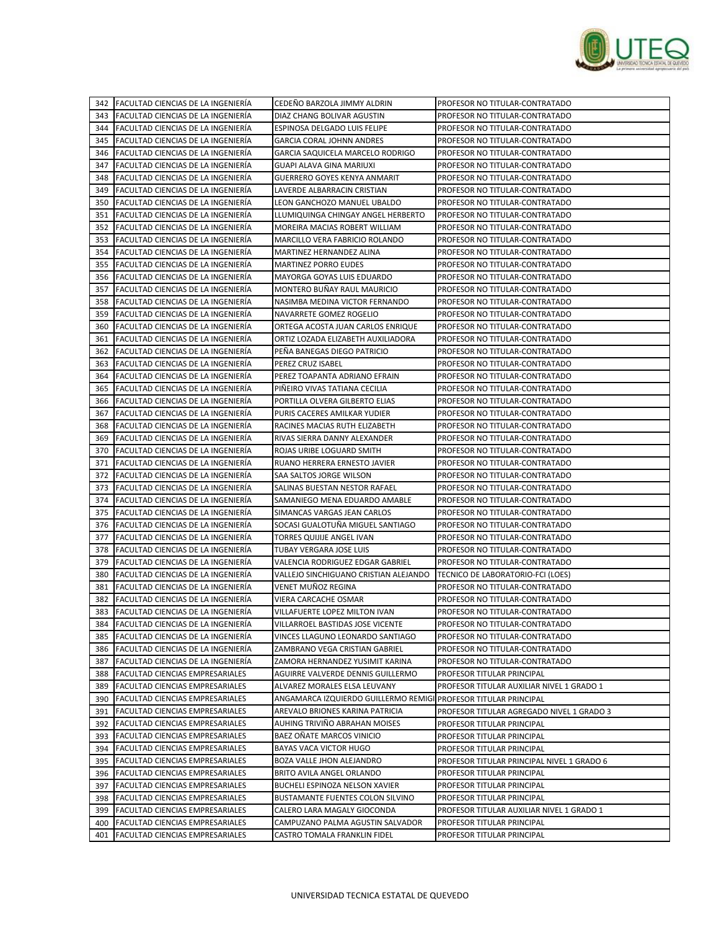

|     | 342 FACULTAD CIENCIAS DE LA INGENIERÍA | CEDEÑO BARZOLA JIMMY ALDRIN                                     | PROFESOR NO TITULAR-CONTRATADO             |
|-----|----------------------------------------|-----------------------------------------------------------------|--------------------------------------------|
| 343 | FACULTAD CIENCIAS DE LA INGENIERÍA     | DIAZ CHANG BOLIVAR AGUSTIN                                      | PROFESOR NO TITULAR-CONTRATADO             |
| 344 | FACULTAD CIENCIAS DE LA INGENIERÍA     | ESPINOSA DELGADO LUIS FELIPE                                    | PROFESOR NO TITULAR-CONTRATADO             |
| 345 | FACULTAD CIENCIAS DE LA INGENIERÍA     | GARCIA CORAL JOHNN ANDRES                                       | PROFESOR NO TITULAR-CONTRATADO             |
| 346 | FACULTAD CIENCIAS DE LA INGENIERÍA     | GARCIA SAQUICELA MARCELO RODRIGO                                | PROFESOR NO TITULAR-CONTRATADO             |
| 347 | FACULTAD CIENCIAS DE LA INGENIERÍA     | GUAPI ALAVA GINA MARIUXI                                        | PROFESOR NO TITULAR-CONTRATADO             |
| 348 | FACULTAD CIENCIAS DE LA INGENIERÍA     | <b>GUERRERO GOYES KENYA ANMARIT</b>                             | PROFESOR NO TITULAR-CONTRATADO             |
| 349 | FACULTAD CIENCIAS DE LA INGENIERÍA     | LAVERDE ALBARRACIN CRISTIAN                                     | PROFESOR NO TITULAR-CONTRATADO             |
| 350 | FACULTAD CIENCIAS DE LA INGENIERÍA     | LEON GANCHOZO MANUEL UBALDO                                     | PROFESOR NO TITULAR-CONTRATADO             |
| 351 | FACULTAD CIENCIAS DE LA INGENIERÍA     | LLUMIQUINGA CHINGAY ANGEL HERBERTO                              | PROFESOR NO TITULAR-CONTRATADO             |
| 352 | FACULTAD CIENCIAS DE LA INGENIERÍA     | MOREIRA MACIAS ROBERT WILLIAM                                   | PROFESOR NO TITULAR-CONTRATADO             |
| 353 | FACULTAD CIENCIAS DE LA INGENIERÍA     | MARCILLO VERA FABRICIO ROLANDO                                  | PROFESOR NO TITULAR-CONTRATADO             |
| 354 | FACULTAD CIENCIAS DE LA INGENIERÍA     | MARTINEZ HERNANDEZ ALINA                                        | PROFESOR NO TITULAR-CONTRATADO             |
| 355 | FACULTAD CIENCIAS DE LA INGENIERÍA     | MARTINEZ PORRO EUDES                                            | PROFESOR NO TITULAR-CONTRATADO             |
| 356 | FACULTAD CIENCIAS DE LA INGENIERÍA     | MAYORGA GOYAS LUIS EDUARDO                                      | PROFESOR NO TITULAR-CONTRATADO             |
| 357 | FACULTAD CIENCIAS DE LA INGENIERIA     | MONTERO BUÑAY RAUL MAURICIO                                     | PROFESOR NO TITULAR-CONTRATADO             |
| 358 | FACULTAD CIENCIAS DE LA INGENIERIA     | NASIMBA MEDINA VICTOR FERNANDO                                  | PROFESOR NO TITULAR-CONTRATADO             |
| 359 | FACULTAD CIENCIAS DE LA INGENIERIA     | NAVARRETE GOMEZ ROGELIO                                         | PROFESOR NO TITULAR-CONTRATADO             |
| 360 | FACULTAD CIENCIAS DE LA INGENIERÍA     | ORTEGA ACOSTA JUAN CARLOS ENRIQUE                               | PROFESOR NO TITULAR-CONTRATADO             |
| 361 | FACULTAD CIENCIAS DE LA INGENIERÍA     | ORTIZ LOZADA ELIZABETH AUXILIADORA                              | PROFESOR NO TITULAR-CONTRATADO             |
| 362 | FACULTAD CIENCIAS DE LA INGENIERIA     | PENA BANEGAS DIEGO PATRICIO                                     | PROFESOR NO TITULAR-CONTRATADO             |
| 363 | FACULTAD CIENCIAS DE LA INGENIERÍA     | PEREZ CRUZ ISABEL                                               | PROFESOR NO TITULAR-CONTRATADO             |
| 364 | FACULTAD CIENCIAS DE LA INGENIERIA     | PEREZ TOAPANTA ADRIANO EFRAIN                                   | PROFESOR NO TITULAR-CONTRATADO             |
| 365 | FACULTAD CIENCIAS DE LA INGENIERÍA     | PIÑEIRO VIVAS TATIANA CECILIA                                   | PROFESOR NO TITULAR-CONTRATADO             |
| 366 | FACULTAD CIENCIAS DE LA INGENIERÍA     | PORTILLA OLVERA GILBERTO ELIAS                                  | PROFESOR NO TITULAR-CONTRATADO             |
| 367 | FACULTAD CIENCIAS DE LA INGENIERÍA     | PURIS CACERES AMILKAR YUDIER                                    | PROFESOR NO TITULAR-CONTRATADO             |
| 368 | FACULTAD CIENCIAS DE LA INGENIERÍA     | RACINES MACIAS RUTH ELIZABETH                                   | PROFESOR NO TITULAR-CONTRATADO             |
| 369 | FACULTAD CIENCIAS DE LA INGENIERÍA     | RIVAS SIERRA DANNY ALEXANDER                                    | PROFESOR NO TITULAR-CONTRATADO             |
| 370 | FACULTAD CIENCIAS DE LA INGENIERÍA     | ROJAS URIBE LOGUARD SMITH                                       | PROFESOR NO TITULAR-CONTRATADO             |
| 371 | FACULTAD CIENCIAS DE LA INGENIERÍA     | RUANO HERRERA ERNESTO JAVIER                                    | PROFESOR NO TITULAR-CONTRATADO             |
| 372 | FACULTAD CIENCIAS DE LA INGENIERÍA     | SAA SALTOS JORGE WILSON                                         | PROFESOR NO TITULAR-CONTRATADO             |
| 373 | FACULTAD CIENCIAS DE LA INGENIERÍA     | SALINAS BUESTAN NESTOR RAFAEL                                   | PROFESOR NO TITULAR-CONTRATADO             |
| 374 | FACULTAD CIENCIAS DE LA INGENIERÍA     | SAMANIEGO MENA EDUARDO AMABLE                                   | PROFESOR NO TITULAR-CONTRATADO             |
| 375 | FACULTAD CIENCIAS DE LA INGENIERÍA     | SIMANCAS VARGAS JEAN CARLOS                                     | PROFESOR NO TITULAR-CONTRATADO             |
| 376 | FACULTAD CIENCIAS DE LA INGENIERÍA     | SOCASI GUALOTUÑA MIGUEL SANTIAGO                                | PROFESOR NO TITULAR-CONTRATADO             |
| 377 | FACULTAD CIENCIAS DE LA INGENIERÍA     | TORRES QUIJIJE ANGEL IVAN                                       | PROFESOR NO TITULAR-CONTRATADO             |
| 378 | FACULTAD CIENCIAS DE LA INGENIERÍA     | TUBAY VERGARA JOSE LUIS                                         | PROFESOR NO TITULAR-CONTRATADO             |
| 379 | FACULTAD CIENCIAS DE LA INGENIERÍA     | VALENCIA RODRIGUEZ EDGAR GABRIEL                                | PROFESOR NO TITULAR-CONTRATADO             |
| 380 | FACULTAD CIENCIAS DE LA INGENIERÍA     | VALLEJO SINCHIGUANO CRISTIAN ALEJANDO                           | TECNICO DE LABORATORIO-FCI (LOES)          |
| 381 | FACULTAD CIENCIAS DE LA INGENIERÍA     | VENET MUÑOZ REGINA                                              | PROFESOR NO TITULAR-CONTRATADO             |
| 382 | FACULTAD CIENCIAS DE LA INGENIERÍA     | VIERA CARCACHE OSMAR                                            | PROFESOR NO TITULAR-CONTRATADO             |
| 383 | FACULTAD CIENCIAS DE LA INGENIERÍA     | VILLAFUERTE LOPEZ MILTON IVAN                                   | PROFESOR NO TITULAR-CONTRATADO             |
|     | 384 FACULTAD CIENCIAS DE LA INGENIERÍA | VILLARROEL BASTIDAS JOSE VICENTE                                | PROFESOR NO TITULAR-CONTRATADO             |
|     | 385 FACULTAD CIENCIAS DE LA INGENIERÍA | VINCES LLAGUNO LEONARDO SANTIAGO                                | PROFESOR NO TITULAR-CONTRATADO             |
|     | 386 FACULTAD CIENCIAS DE LA INGENIERÍA | ZAMBRANO VEGA CRISTIAN GABRIEL                                  | PROFESOR NO TITULAR-CONTRATADO             |
|     | 387 FACULTAD CIENCIAS DE LA INGENIERÍA | ZAMORA HERNANDEZ YUSIMIT KARINA                                 | PROFESOR NO TITULAR-CONTRATADO             |
| 388 | <b>FACULTAD CIENCIAS EMPRESARIALES</b> | AGUIRRE VALVERDE DENNIS GUILLERMO                               | PROFESOR TITULAR PRINCIPAL                 |
| 389 | FACULTAD CIENCIAS EMPRESARIALES        | ALVAREZ MORALES ELSA LEUVANY                                    | PROFESOR TITULAR AUXILIAR NIVEL 1 GRADO 1  |
| 390 | <b>FACULTAD CIENCIAS EMPRESARIALES</b> | ANGAMARCA IZQUIERDO GUILLERMO REMIGI PROFESOR TITULAR PRINCIPAL |                                            |
| 391 | <b>FACULTAD CIENCIAS EMPRESARIALES</b> | AREVALO BRIONES KARINA PATRICIA                                 | PROFESOR TITULAR AGREGADO NIVEL 1 GRADO 3  |
| 392 | <b>FACULTAD CIENCIAS EMPRESARIALES</b> | AUHING TRIVIÑO ABRAHAN MOISES                                   | PROFESOR TITULAR PRINCIPAL                 |
| 393 | <b>FACULTAD CIENCIAS EMPRESARIALES</b> | BAEZ OÑATE MARCOS VINICIO                                       | PROFESOR TITULAR PRINCIPAL                 |
| 394 | FACULTAD CIENCIAS EMPRESARIALES        | BAYAS VACA VICTOR HUGO                                          | PROFESOR TITULAR PRINCIPAL                 |
|     | 395 FACULTAD CIENCIAS EMPRESARIALES    | BOZA VALLE JHON ALEJANDRO                                       | PROFESOR TITULAR PRINCIPAL NIVEL 1 GRADO 6 |
| 396 | <b>FACULTAD CIENCIAS EMPRESARIALES</b> | BRITO AVILA ANGEL ORLANDO                                       | PROFESOR TITULAR PRINCIPAL                 |
| 397 | <b>FACULTAD CIENCIAS EMPRESARIALES</b> | BUCHELI ESPINOZA NELSON XAVIER                                  | PROFESOR TITULAR PRINCIPAL                 |
| 398 | FACULTAD CIENCIAS EMPRESARIALES        | BUSTAMANTE FUENTES COLON SILVINO                                | PROFESOR TITULAR PRINCIPAL                 |
|     | 399 FACULTAD CIENCIAS EMPRESARIALES    | CALERO LARA MAGALY GIOCONDA                                     | PROFESOR TITULAR AUXILIAR NIVEL 1 GRADO 1  |
| 400 | FACULTAD CIENCIAS EMPRESARIALES        | CAMPUZANO PALMA AGUSTIN SALVADOR                                | PROFESOR TITULAR PRINCIPAL                 |
|     | 401 FACULTAD CIENCIAS EMPRESARIALES    | CASTRO TOMALA FRANKLIN FIDEL                                    | PROFESOR TITULAR PRINCIPAL                 |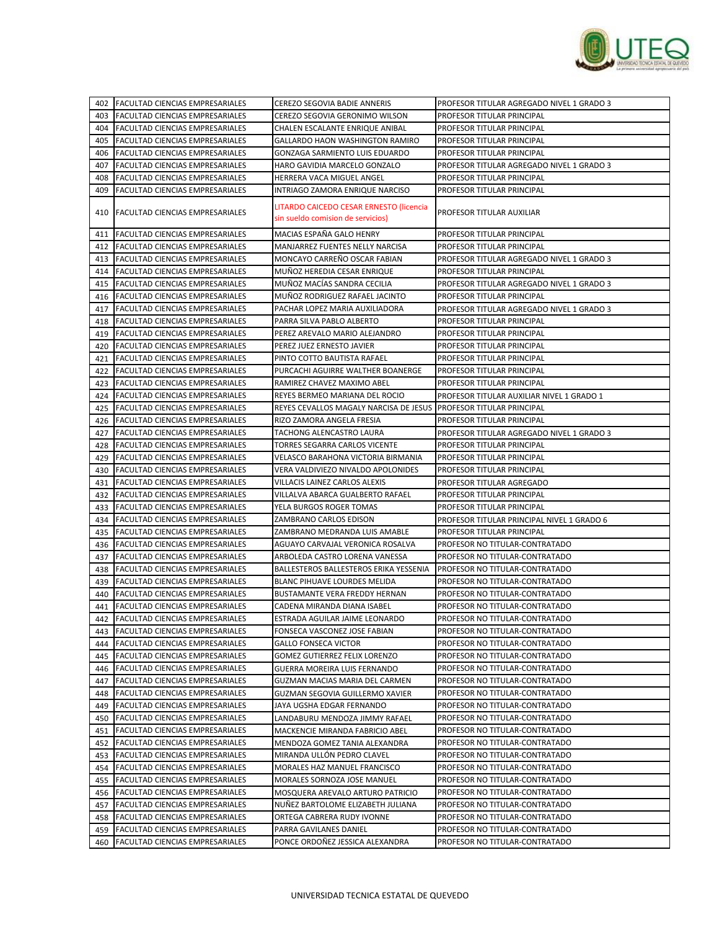

|     | 402   FACULTAD CIENCIAS EMPRESARIALES  | CEREZO SEGOVIA BADIE ANNERIS            | PROFESOR TITULAR AGREGADO NIVEL 1 GRADO 3  |
|-----|----------------------------------------|-----------------------------------------|--------------------------------------------|
| 403 | FACULTAD CIENCIAS EMPRESARIALES        | CEREZO SEGOVIA GERONIMO WILSON          | PROFESOR TITULAR PRINCIPAL                 |
| 404 | <b>FACULTAD CIENCIAS EMPRESARIALES</b> | CHALEN ESCALANTE ENRIQUE ANIBAL         | PROFESOR TITULAR PRINCIPAL                 |
| 405 | FACULTAD CIENCIAS EMPRESARIALES        | GALLARDO HAON WASHINGTON RAMIRO         | PROFESOR TITULAR PRINCIPAL                 |
| 406 | FACULTAD CIENCIAS EMPRESARIALES        | GONZAGA SARMIENTO LUIS EDUARDO          | PROFESOR TITULAR PRINCIPAL                 |
| 407 | FACULTAD CIENCIAS EMPRESARIALES        | HARO GAVIDIA MARCELO GONZALO            | PROFESOR TITULAR AGREGADO NIVEL 1 GRADO 3  |
| 408 | FACULTAD CIENCIAS EMPRESARIALES        | HERRERA VACA MIGUEL ANGEL               | PROFESOR TITULAR PRINCIPAL                 |
| 409 | FACULTAD CIENCIAS EMPRESARIALES        | INTRIAGO ZAMORA ENRIQUE NARCISO         | PROFESOR TITULAR PRINCIPAL                 |
|     |                                        |                                         |                                            |
| 410 | <b>FACULTAD CIENCIAS EMPRESARIALES</b> | LITARDO CAICEDO CESAR ERNESTO (licencia | PROFESOR TITULAR AUXILIAR                  |
|     |                                        | sin sueldo comision de servicios)       |                                            |
| 411 | FACULTAD CIENCIAS EMPRESARIALES        | MACIAS ESPAÑA GALO HENRY                | PROFESOR TITULAR PRINCIPAL                 |
| 412 | FACULTAD CIENCIAS EMPRESARIALES        | MANJARREZ FUENTES NELLY NARCISA         | PROFESOR TITULAR PRINCIPAL                 |
| 413 | <b>FACULTAD CIENCIAS EMPRESARIALES</b> | MONCAYO CARREÑO OSCAR FABIAN            | PROFESOR TITULAR AGREGADO NIVEL 1 GRADO 3  |
| 414 | FACULTAD CIENCIAS EMPRESARIALES        | MUNOZ HEREDIA CESAR ENRIQUE             | PROFESOR TITULAR PRINCIPAL                 |
| 415 | FACULTAD CIENCIAS EMPRESARIALES        | MUÑOZ MACÍAS SANDRA CECILIA             | PROFESOR TITULAR AGREGADO NIVEL 1 GRADO 3  |
| 416 | FACULTAD CIENCIAS EMPRESARIALES        | MUÑOZ RODRIGUEZ RAFAEL JACINTO          | PROFESOR TITULAR PRINCIPAL                 |
| 417 | FACULTAD CIENCIAS EMPRESARIALES        | PACHAR LOPEZ MARIA AUXILIADORA          | PROFESOR TITULAR AGREGADO NIVEL 1 GRADO 3  |
| 418 | FACULTAD CIENCIAS EMPRESARIALES        | PARRA SILVA PABLO ALBERTO               | PROFESOR TITULAR PRINCIPAL                 |
| 419 | FACULTAD CIENCIAS EMPRESARIALES        | PEREZ AREVALO MARIO ALEJANDRO           | PROFESOR TITULAR PRINCIPAL                 |
| 420 | FACULTAD CIENCIAS EMPRESARIALES        | PEREZ JUEZ ERNESTO JAVIER               | PROFESOR TITULAR PRINCIPAL                 |
| 421 | FACULTAD CIENCIAS EMPRESARIALES        | PINTO COTTO BAUTISTA RAFAEL             | PROFESOR TITULAR PRINCIPAL                 |
| 422 | <b>FACULTAD CIENCIAS EMPRESARIALES</b> | PURCACHI AGUIRRE WALTHER BOANERGE       | PROFESOR TITULAR PRINCIPAL                 |
| 423 | FACULTAD CIENCIAS EMPRESARIALES        | RAMIREZ CHAVEZ MAXIMO ABEL              | PROFESOR TITULAR PRINCIPAL                 |
| 424 | FACULTAD CIENCIAS EMPRESARIALES        | REYES BERMEO MARIANA DEL ROCIO          | PROFESOR TITULAR AUXILIAR NIVEL 1 GRADO 1  |
| 425 | FACULTAD CIENCIAS EMPRESARIALES        | REYES CEVALLOS MAGALY NARCISA DE JESUS  | PROFESOR TITULAR PRINCIPAL                 |
| 426 | <b>FACULTAD CIENCIAS EMPRESARIALES</b> | RIZO ZAMORA ANGELA FRESIA               | PROFESOR TITULAR PRINCIPAL                 |
| 427 | FACULTAD CIENCIAS EMPRESARIALES        | TACHONG ALENCASTRO LAURA                | PROFESOR TITULAR AGREGADO NIVEL 1 GRADO 3  |
| 428 | FACULTAD CIENCIAS EMPRESARIALES        | TORRES SEGARRA CARLOS VICENTE           | PROFESOR TITULAR PRINCIPAL                 |
| 429 | FACULTAD CIENCIAS EMPRESARIALES        | VELASCO BARAHONA VICTORIA BIRMANIA      | PROFESOR TITULAR PRINCIPAL                 |
| 430 | <b>FACULTAD CIENCIAS EMPRESARIALES</b> | VERA VALDIVIEZO NIVALDO APOLONIDES      | PROFESOR TITULAR PRINCIPAL                 |
| 431 | FACULTAD CIENCIAS EMPRESARIALES        | VILLACIS LAINEZ CARLOS ALEXIS           | PROFESOR TITULAR AGREGADO                  |
| 432 | FACULTAD CIENCIAS EMPRESARIALES        | VILLALVA ABARCA GUALBERTO RAFAEL        | PROFESOR TITULAR PRINCIPAL                 |
| 433 | FACULTAD CIENCIAS EMPRESARIALES        | YELA BURGOS ROGER TOMAS                 | PROFESOR TITULAR PRINCIPAL                 |
| 434 | FACULTAD CIENCIAS EMPRESARIALES        | ZAMBRANO CARLOS EDISON                  | PROFESOR TITULAR PRINCIPAL NIVEL 1 GRADO 6 |
| 435 | FACULTAD CIENCIAS EMPRESARIALES        | ZAMBRANO MEDRANDA LUIS AMABLE           | PROFESOR TITULAR PRINCIPAL                 |
| 436 | FACULTAD CIENCIAS EMPRESARIALES        | AGUAYO CARVAJAL VERONICA ROSALVA        | PROFESOR NO TITULAR-CONTRATADO             |
| 437 | FACULTAD CIENCIAS EMPRESARIALES        | ARBOLEDA CASTRO LORENA VANESSA          | PROFESOR NO TITULAR-CONTRATADO             |
| 438 | FACULTAD CIENCIAS EMPRESARIALES        | BALLESTEROS BALLESTEROS ERIKA YESSENIA  | PROFESOR NO TITULAR-CONTRATADO             |
| 439 | FACULTAD CIENCIAS EMPRESARIALES        | BLANC PIHUAVE LOURDES MELIDA            | PROFESOR NO TITULAR-CONTRATADO             |
| 440 | FACULTAD CIENCIAS EMPRESARIALES        | BUSTAMANTE VERA FREDDY HERNAN           | PROFESOR NO TITULAR-CONTRATADO             |
| 441 | FACULTAD CIENCIAS EMPRESARIALES        | CADENA MIRANDA DIANA ISABEL             | PROFESOR NO TITULAR-CONTRATADO             |
| 442 | <b>FACULTAD CIENCIAS EMPRESARIALES</b> | ESTRADA AGUILAR JAIME LEONARDO          | PROFESOR NO TITULAR-CONTRATADO             |
| 443 | FACULTAD CIENCIAS EMPRESARIALES        | FONSECA VASCONEZ JOSE FABIAN            | PROFESOR NO TITULAR-CONTRATADO             |
| 444 | FACULTAD CIENCIAS EMPRESARIALES        | <b>GALLO FONSECA VICTOR</b>             | PROFESOR NO TITULAR-CONTRATADO             |
|     | 445 FACULTAD CIENCIAS EMPRESARIALES    | GOMEZ GUTIERREZ FELIX LORENZO           | PROFESOR NO TITULAR-CONTRATADO             |
| 446 | FACULTAD CIENCIAS EMPRESARIALES        | GUERRA MOREIRA LUIS FERNANDO            | PROFESOR NO TITULAR-CONTRATADO             |
|     | FACULTAD CIENCIAS EMPRESARIALES        | GUZMAN MACIAS MARIA DEL CARMEN          |                                            |
| 447 |                                        |                                         | PROFESOR NO TITULAR-CONTRATADO             |
| 448 | FACULTAD CIENCIAS EMPRESARIALES        | GUZMAN SEGOVIA GUILLERMO XAVIER         | PROFESOR NO TITULAR-CONTRATADO             |
| 449 | FACULTAD CIENCIAS EMPRESARIALES        | JAYA UGSHA EDGAR FERNANDO               | PROFESOR NO TITULAR-CONTRATADO             |
| 450 | FACULTAD CIENCIAS EMPRESARIALES        | LANDABURU MENDOZA JIMMY RAFAEL          | PROFESOR NO TITULAR-CONTRATADO             |
| 451 | FACULTAD CIENCIAS EMPRESARIALES        | MACKENCIE MIRANDA FABRICIO ABEL         | PROFESOR NO TITULAR-CONTRATADO             |
| 452 | FACULTAD CIENCIAS EMPRESARIALES        | MENDOZA GOMEZ TANIA ALEXANDRA           | PROFESOR NO TITULAR-CONTRATADO             |
| 453 | FACULTAD CIENCIAS EMPRESARIALES        | MIRANDA ULLÓN PEDRO CLAVEL              | PROFESOR NO TITULAR-CONTRATADO             |
| 454 | FACULTAD CIENCIAS EMPRESARIALES        | MORALES HAZ MANUEL FRANCISCO            | PROFESOR NO TITULAR-CONTRATADO             |
| 455 | FACULTAD CIENCIAS EMPRESARIALES        | MORALES SORNOZA JOSE MANUEL             | PROFESOR NO TITULAR-CONTRATADO             |
| 456 | FACULTAD CIENCIAS EMPRESARIALES        | MOSQUERA AREVALO ARTURO PATRICIO        | PROFESOR NO TITULAR-CONTRATADO             |
| 457 | FACULTAD CIENCIAS EMPRESARIALES        | NUÑEZ BARTOLOME ELIZABETH JULIANA       | PROFESOR NO TITULAR-CONTRATADO             |
| 458 | FACULTAD CIENCIAS EMPRESARIALES        | ORTEGA CABRERA RUDY IVONNE              | PROFESOR NO TITULAR-CONTRATADO             |
|     | 459 FACULTAD CIENCIAS EMPRESARIALES    | PARRA GAVILANES DANIEL                  | PROFESOR NO TITULAR-CONTRATADO             |
| 460 | FACULTAD CIENCIAS EMPRESARIALES        | PONCE ORDOÑEZ JESSICA ALEXANDRA         | PROFESOR NO TITULAR-CONTRATADO             |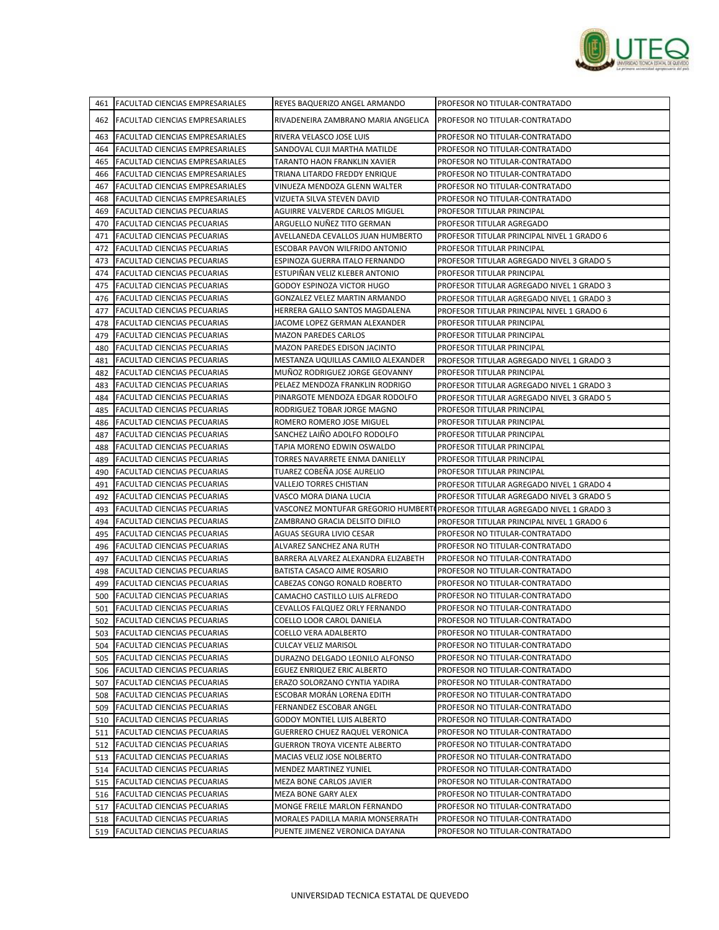

|     | 461 FACULTAD CIENCIAS EMPRESARIALES                                   | REYES BAQUERIZO ANGEL ARMANDO                 | PROFESOR NO TITULAR-CONTRATADO                                               |
|-----|-----------------------------------------------------------------------|-----------------------------------------------|------------------------------------------------------------------------------|
|     | 462 FACULTAD CIENCIAS EMPRESARIALES                                   | RIVADENEIRA ZAMBRANO MARIA ANGELICA           | PROFESOR NO TITULAR-CONTRATADO                                               |
| 463 | <b>FACULTAD CIENCIAS EMPRESARIALES</b>                                | RIVERA VELASCO JOSE LUIS                      | PROFESOR NO TITULAR-CONTRATADO                                               |
| 464 | <b>FACULTAD CIENCIAS EMPRESARIALES</b>                                | SANDOVAL CUJI MARTHA MATILDE                  | PROFESOR NO TITULAR-CONTRATADO                                               |
| 465 | <b>FACULTAD CIENCIAS EMPRESARIALES</b>                                | TARANTO HAON FRANKLIN XAVIER                  | PROFESOR NO TITULAR-CONTRATADO                                               |
| 466 | <b>FACULTAD CIENCIAS EMPRESARIALES</b>                                | TRIANA LITARDO FREDDY ENRIQUE                 | PROFESOR NO TITULAR-CONTRATADO                                               |
| 467 | <b>FACULTAD CIENCIAS EMPRESARIALES</b>                                | VINUEZA MENDOZA GLENN WALTER                  | PROFESOR NO TITULAR-CONTRATADO                                               |
| 468 | FACULTAD CIENCIAS EMPRESARIALES                                       | VIZUETA SILVA STEVEN DAVID                    | PROFESOR NO TITULAR-CONTRATADO                                               |
| 469 | <b>FACULTAD CIENCIAS PECUARIAS</b>                                    | AGUIRRE VALVERDE CARLOS MIGUEL                | PROFESOR TITULAR PRINCIPAL                                                   |
| 470 | <b>FACULTAD CIENCIAS PECUARIAS</b>                                    | ARGUELLO NUÑEZ TITO GERMAN                    | PROFESOR TITULAR AGREGADO                                                    |
| 471 | FACULTAD CIENCIAS PECUARIAS                                           | AVELLANEDA CEVALLOS JUAN HUMBERTO             | PROFESOR TITULAR PRINCIPAL NIVEL 1 GRADO 6                                   |
| 472 | <b>FACULTAD CIENCIAS PECUARIAS</b>                                    | ESCOBAR PAVON WILFRIDO ANTONIO                | PROFESOR TITULAR PRINCIPAL                                                   |
| 473 | <b>FACULTAD CIENCIAS PECUARIAS</b>                                    | ESPINOZA GUERRA ITALO FERNANDO                | PROFESOR TITULAR AGREGADO NIVEL 3 GRADO 5                                    |
| 474 | <b>FACULTAD CIENCIAS PECUARIAS</b>                                    | ESTUPIÑAN VELIZ KLEBER ANTONIO                | PROFESOR TITULAR PRINCIPAL                                                   |
| 475 | <b>FACULTAD CIENCIAS PECUARIAS</b>                                    | GODOY ESPINOZA VICTOR HUGO                    | PROFESOR TITULAR AGREGADO NIVEL 1 GRADO 3                                    |
| 476 | <b>FACULTAD CIENCIAS PECUARIAS</b>                                    | GONZALEZ VELEZ MARTIN ARMANDO                 | PROFESOR TITULAR AGREGADO NIVEL 1 GRADO 3                                    |
| 477 | <b>FACULTAD CIENCIAS PECUARIAS</b>                                    | HERRERA GALLO SANTOS MAGDALENA                | PROFESOR TITULAR PRINCIPAL NIVEL 1 GRADO 6                                   |
| 478 | FACULTAD CIENCIAS PECUARIAS                                           | JACOME LOPEZ GERMAN ALEXANDER                 | PROFESOR TITULAR PRINCIPAL                                                   |
| 479 | <b>FACULTAD CIENCIAS PECUARIAS</b>                                    | <b>MAZON PAREDES CARLOS</b>                   | PROFESOR TITULAR PRINCIPAL                                                   |
| 480 | <b>FACULTAD CIENCIAS PECUARIAS</b>                                    | MAZON PAREDES EDISON JACINTO                  | PROFESOR TITULAR PRINCIPAL                                                   |
| 481 | <b>FACULTAD CIENCIAS PECUARIAS</b>                                    | MESTANZA UQUILLAS CAMILO ALEXANDER            | PROFESOR TITULAR AGREGADO NIVEL 1 GRADO 3                                    |
| 482 | <b>FACULTAD CIENCIAS PECUARIAS</b>                                    | MUÑOZ RODRIGUEZ JORGE GEOVANNY                | PROFESOR TITULAR PRINCIPAL                                                   |
| 483 | <b>FACULTAD CIENCIAS PECUARIAS</b>                                    | PELAEZ MENDOZA FRANKLIN RODRIGO               | PROFESOR TITULAR AGREGADO NIVEL 1 GRADO 3                                    |
| 484 | <b>FACULTAD CIENCIAS PECUARIAS</b>                                    | PINARGOTE MENDOZA EDGAR RODOLFO               | PROFESOR TITULAR AGREGADO NIVEL 3 GRADO 5                                    |
| 485 | FACULTAD CIENCIAS PECUARIAS                                           | RODRIGUEZ TOBAR JORGE MAGNO                   | PROFESOR TITULAR PRINCIPAL                                                   |
| 486 | <b>FACULTAD CIENCIAS PECUARIAS</b>                                    | ROMERO ROMERO JOSE MIGUEL                     | PROFESOR TITULAR PRINCIPAL                                                   |
| 487 | <b>FACULTAD CIENCIAS PECUARIAS</b>                                    | SANCHEZ LAIÑO ADOLFO RODOLFO                  | PROFESOR TITULAR PRINCIPAL                                                   |
| 488 | <b>FACULTAD CIENCIAS PECUARIAS</b>                                    | TAPIA MORENO EDWIN OSWALDO                    | PROFESOR TITULAR PRINCIPAL                                                   |
| 489 | <b>FACULTAD CIENCIAS PECUARIAS</b>                                    | TORRES NAVARRETE ENMA DANIELLY                | PROFESOR TITULAR PRINCIPAL                                                   |
| 490 | <b>FACULTAD CIENCIAS PECUARIAS</b>                                    | TUAREZ COBEÑA JOSE AURELIO                    | PROFESOR TITULAR PRINCIPAL                                                   |
| 491 | <b>FACULTAD CIENCIAS PECUARIAS</b>                                    | VALLEJO TORRES CHISTIAN                       | PROFESOR TITULAR AGREGADO NIVEL 1 GRADO 4                                    |
| 492 | <b>FACULTAD CIENCIAS PECUARIAS</b>                                    | VASCO MORA DIANA LUCIA                        | PROFESOR TITULAR AGREGADO NIVEL 3 GRADO 5                                    |
| 493 | <b>FACULTAD CIENCIAS PECUARIAS</b>                                    |                                               | VASCONEZ MONTUFAR GREGORIO HUMBERT(PROFESOR TITULAR AGREGADO NIVEL 1 GRADO 3 |
| 494 | <b>FACULTAD CIENCIAS PECUARIAS</b>                                    | ZAMBRANO GRACIA DELSITO DIFILO                | PROFESOR TITULAR PRINCIPAL NIVEL 1 GRADO 6                                   |
| 495 | FACULTAD CIENCIAS PECUARIAS                                           | AGUAS SEGURA LIVIO CESAR                      | PROFESOR NO TITULAR-CONTRATADO                                               |
| 496 | <b>FACULTAD CIENCIAS PECUARIAS</b>                                    | ALVAREZ SANCHEZ ANA RUTH                      | PROFESOR NO TITULAR-CONTRATADO                                               |
| 497 | FACULTAD CIENCIAS PECUARIAS                                           | BARRERA ALVAREZ ALEXANDRA ELIZABETH           | PROFESOR NO TITULAR-CONTRATADO                                               |
| 498 | <b>FACULTAD CIENCIAS PECUARIAS</b>                                    | BATISTA CASACO AIME ROSARIO                   | PROFESOR NO TITULAR-CONTRATADO                                               |
| 499 | <b>FACULTAD CIENCIAS PECUARIAS</b>                                    | CABEZAS CONGO RONALD ROBERTO                  | PROFESOR NO TITULAR-CONTRATADO                                               |
| 500 | <b>FACULTAD CIENCIAS PECUARIAS</b>                                    | CAMACHO CASTILLO LUIS ALFREDO                 | PROFESOR NO TITULAR-CONTRATADO                                               |
| 501 | <b>FACULTAD CIENCIAS PECUARIAS</b>                                    | CEVALLOS FALQUEZ ORLY FERNANDO                | PROFESOR NO TITULAR-CONTRATADO                                               |
|     | 502 FACULTAD CIENCIAS PECUARIAS                                       | COELLO LOOR CAROL DANIELA                     | PROFESOR NO TITULAR-CONTRATADO                                               |
| 504 | 503 FACULTAD CIENCIAS PECUARIAS                                       | COELLO VERA ADALBERTO<br>CULCAY VELIZ MARISOL | PROFESOR NO TITULAR-CONTRATADO                                               |
|     | <b>FACULTAD CIENCIAS PECUARIAS</b><br>505 FACULTAD CIENCIAS PECUARIAS | DURAZNO DELGADO LEONILO ALFONSO               | PROFESOR NO TITULAR-CONTRATADO<br>PROFESOR NO TITULAR-CONTRATADO             |
| 506 | <b>FACULTAD CIENCIAS PECUARIAS</b>                                    | EGUEZ ENRIQUEZ ERIC ALBERTO                   | PROFESOR NO TITULAR-CONTRATADO                                               |
|     | 507 FACULTAD CIENCIAS PECUARIAS                                       | ERAZO SOLORZANO CYNTIA YADIRA                 | PROFESOR NO TITULAR-CONTRATADO                                               |
| 508 | <b>FACULTAD CIENCIAS PECUARIAS</b>                                    | ESCOBAR MORÁN LORENA EDITH                    | PROFESOR NO TITULAR-CONTRATADO                                               |
| 509 | <b>FACULTAD CIENCIAS PECUARIAS</b>                                    | FERNANDEZ ESCOBAR ANGEL                       | PROFESOR NO TITULAR-CONTRATADO                                               |
| 510 | <b>FACULTAD CIENCIAS PECUARIAS</b>                                    | <b>GODOY MONTIEL LUIS ALBERTO</b>             | PROFESOR NO TITULAR-CONTRATADO                                               |
|     | 511 FACULTAD CIENCIAS PECUARIAS                                       | GUERRERO CHUEZ RAQUEL VERONICA                | PROFESOR NO TITULAR-CONTRATADO                                               |
|     | 512 FACULTAD CIENCIAS PECUARIAS                                       | <b>GUERRON TROYA VICENTE ALBERTO</b>          | PROFESOR NO TITULAR-CONTRATADO                                               |
|     | 513 FACULTAD CIENCIAS PECUARIAS                                       | MACIAS VELIZ JOSE NOLBERTO                    | PROFESOR NO TITULAR-CONTRATADO                                               |
| 514 | <b>FACULTAD CIENCIAS PECUARIAS</b>                                    | MENDEZ MARTINEZ YUNIEL                        | PROFESOR NO TITULAR-CONTRATADO                                               |
|     | 515 FACULTAD CIENCIAS PECUARIAS                                       | MEZA BONE CARLOS JAVIER                       | PROFESOR NO TITULAR-CONTRATADO                                               |
| 516 | <b>FACULTAD CIENCIAS PECUARIAS</b>                                    | MEZA BONE GARY ALEX                           | PROFESOR NO TITULAR-CONTRATADO                                               |
| 517 | <b>FACULTAD CIENCIAS PECUARIAS</b>                                    | MONGE FREILE MARLON FERNANDO                  | PROFESOR NO TITULAR-CONTRATADO                                               |
| 518 | <b>FACULTAD CIENCIAS PECUARIAS</b>                                    | MORALES PADILLA MARIA MONSERRATH              | PROFESOR NO TITULAR-CONTRATADO                                               |
| 519 | <b>FACULTAD CIENCIAS PECUARIAS</b>                                    | PUENTE JIMENEZ VERONICA DAYANA                | PROFESOR NO TITULAR-CONTRATADO                                               |
|     |                                                                       |                                               |                                                                              |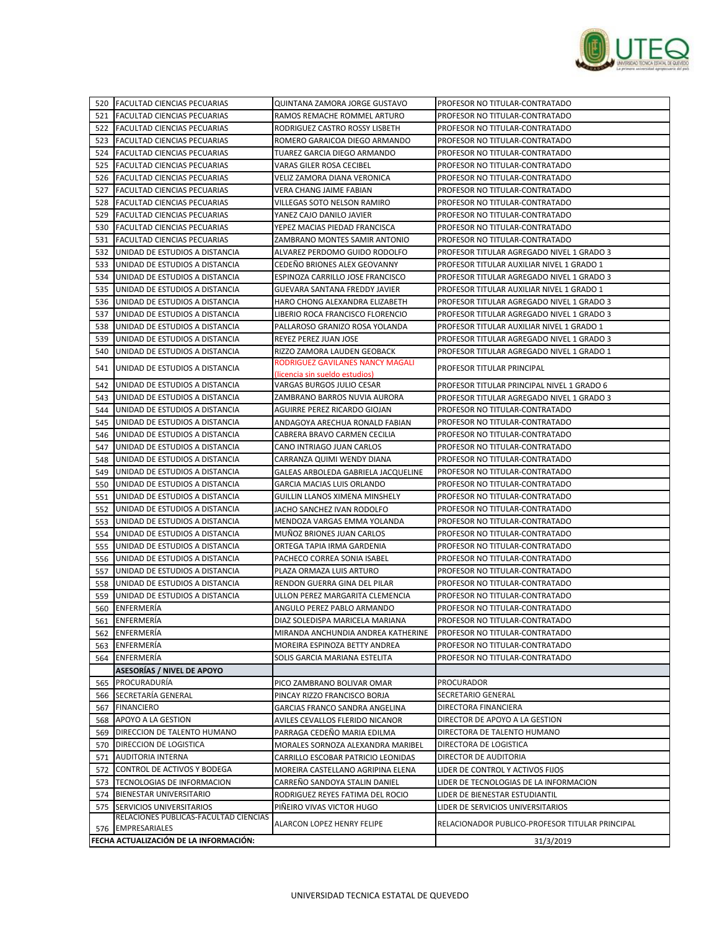

|     | 520 FACULTAD CIENCIAS PECUARIAS                                       | QUINTANA ZAMORA JORGE GUSTAVO                                           | PROFESOR NO TITULAR-CONTRATADO                  |
|-----|-----------------------------------------------------------------------|-------------------------------------------------------------------------|-------------------------------------------------|
| 521 | <b>FACULTAD CIENCIAS PECUARIAS</b>                                    | RAMOS REMACHE ROMMEL ARTURO                                             | PROFESOR NO TITULAR-CONTRATADO                  |
| 522 | <b>FACULTAD CIENCIAS PECUARIAS</b>                                    | RODRIGUEZ CASTRO ROSSY LISBETH                                          | PROFESOR NO TITULAR-CONTRATADO                  |
| 523 | <b>FACULTAD CIENCIAS PECUARIAS</b>                                    | ROMERO GARAICOA DIEGO ARMANDO                                           | PROFESOR NO TITULAR-CONTRATADO                  |
| 524 | <b>FACULTAD CIENCIAS PECUARIAS</b>                                    | TUAREZ GARCIA DIEGO ARMANDO                                             | PROFESOR NO TITULAR-CONTRATADO                  |
| 525 | <b>FACULTAD CIENCIAS PECUARIAS</b>                                    | VARAS GILER ROSA CECIBEL                                                | PROFESOR NO TITULAR-CONTRATADO                  |
| 526 | <b>FACULTAD CIENCIAS PECUARIAS</b>                                    | VELIZ ZAMORA DIANA VERONICA                                             | PROFESOR NO TITULAR-CONTRATADO                  |
| 527 | FACULTAD CIENCIAS PECUARIAS                                           | VERA CHANG JAIME FABIAN                                                 | PROFESOR NO TITULAR-CONTRATADO                  |
| 528 | FACULTAD CIENCIAS PECUARIAS                                           | VILLEGAS SOTO NELSON RAMIRO                                             | PROFESOR NO TITULAR-CONTRATADO                  |
| 529 | <b>FACULTAD CIENCIAS PECUARIAS</b>                                    | YANEZ CAJO DANILO JAVIER                                                | PROFESOR NO TITULAR-CONTRATADO                  |
| 530 | <b>FACULTAD CIENCIAS PECUARIAS</b>                                    | YEPEZ MACIAS PIEDAD FRANCISCA                                           | PROFESOR NO TITULAR-CONTRATADO                  |
| 531 | <b>FACULTAD CIENCIAS PECUARIAS</b>                                    | ZAMBRANO MONTES SAMIR ANTONIO                                           | PROFESOR NO TITULAR-CONTRATADO                  |
| 532 | UNIDAD DE ESTUDIOS A DISTANCIA                                        | ALVAREZ PERDOMO GUIDO RODOLFO                                           | PROFESOR TITULAR AGREGADO NIVEL 1 GRADO 3       |
| 533 | UNIDAD DE ESTUDIOS A DISTANCIA                                        | CEDEÑO BRIONES ALEX GEOVANNY                                            | PROFESOR TITULAR AUXILIAR NIVEL 1 GRADO 1       |
| 534 | UNIDAD DE ESTUDIOS A DISTANCIA                                        | ESPINOZA CARRILLO JOSE FRANCISCO                                        | PROFESOR TITULAR AGREGADO NIVEL 1 GRADO 3       |
| 535 | UNIDAD DE ESTUDIOS A DISTANCIA                                        | GUEVARA SANTANA FREDDY JAVIER                                           | PROFESOR TITULAR AUXILIAR NIVEL 1 GRADO 1       |
| 536 | UNIDAD DE ESTUDIOS A DISTANCIA                                        | HARO CHONG ALEXANDRA ELIZABETH                                          | PROFESOR TITULAR AGREGADO NIVEL 1 GRADO 3       |
| 537 | UNIDAD DE ESTUDIOS A DISTANCIA                                        | LIBERIO ROCA FRANCISCO FLORENCIO                                        | PROFESOR TITULAR AGREGADO NIVEL 1 GRADO 3       |
| 538 | UNIDAD DE ESTUDIOS A DISTANCIA                                        | PALLAROSO GRANIZO ROSA YOLANDA                                          | PROFESOR TITULAR AUXILIAR NIVEL 1 GRADO 1       |
| 539 | UNIDAD DE ESTUDIOS A DISTANCIA                                        | REYEZ PEREZ JUAN JOSE                                                   | PROFESOR TITULAR AGREGADO NIVEL 1 GRADO 3       |
|     |                                                                       |                                                                         | PROFESOR TITULAR AGREGADO NIVEL 1 GRADO 1       |
| 540 | UNIDAD DE ESTUDIOS A DISTANCIA                                        | RIZZO ZAMORA LAUDEN GEOBACK<br>RODRIGUEZ GAVILANES NANCY MAGALI         |                                                 |
| 541 | UNIDAD DE ESTUDIOS A DISTANCIA                                        | (licencia sin sueldo estudios)                                          | PROFESOR TITULAR PRINCIPAL                      |
| 542 | UNIDAD DE ESTUDIOS A DISTANCIA                                        | VARGAS BURGOS JULIO CESAR                                               | PROFESOR TITULAR PRINCIPAL NIVEL 1 GRADO 6      |
| 543 | UNIDAD DE ESTUDIOS A DISTANCIA                                        | ZAMBRANO BARROS NUVIA AURORA                                            | PROFESOR TITULAR AGREGADO NIVEL 1 GRADO 3       |
| 544 | UNIDAD DE ESTUDIOS A DISTANCIA                                        | AGUIRRE PEREZ RICARDO GIOJAN                                            | PROFESOR NO TITULAR-CONTRATADO                  |
| 545 | UNIDAD DE ESTUDIOS A DISTANCIA                                        | ANDAGOYA ARECHUA RONALD FABIAN                                          | PROFESOR NO TITULAR-CONTRATADO                  |
| 546 | UNIDAD DE ESTUDIOS A DISTANCIA                                        | CABRERA BRAVO CARMEN CECILIA                                            | PROFESOR NO TITULAR-CONTRATADO                  |
| 547 | UNIDAD DE ESTUDIOS A DISTANCIA                                        | CANO INTRIAGO JUAN CARLOS                                               | PROFESOR NO TITULAR-CONTRATADO                  |
| 548 | UNIDAD DE ESTUDIOS A DISTANCIA                                        | CARRANZA QUIMI WENDY DIANA                                              | PROFESOR NO TITULAR-CONTRATADO                  |
| 549 | UNIDAD DE ESTUDIOS A DISTANCIA                                        | GALEAS ARBOLEDA GABRIELA JACQUELINE                                     | PROFESOR NO TITULAR-CONTRATADO                  |
| 550 | UNIDAD DE ESTUDIOS A DISTANCIA                                        | GARCIA MACIAS LUIS ORLANDO                                              | PROFESOR NO TITULAR-CONTRATADO                  |
| 551 | UNIDAD DE ESTUDIOS A DISTANCIA                                        | GUILLIN LLANOS XIMENA MINSHELY                                          | PROFESOR NO TITULAR-CONTRATADO                  |
| 552 | UNIDAD DE ESTUDIOS A DISTANCIA                                        | JACHO SANCHEZ IVAN RODOLFO                                              | PROFESOR NO TITULAR-CONTRATADO                  |
| 553 | UNIDAD DE ESTUDIOS A DISTANCIA                                        | MENDOZA VARGAS EMMA YOLANDA                                             | PROFESOR NO TITULAR-CONTRATADO                  |
| 554 | UNIDAD DE ESTUDIOS A DISTANCIA                                        | MUNOZ BRIONES JUAN CARLOS                                               | PROFESOR NO TITULAR-CONTRATADO                  |
| 555 | UNIDAD DE ESTUDIOS A DISTANCIA                                        | ORTEGA TAPIA IRMA GARDENIA                                              | PROFESOR NO TITULAR-CONTRATADO                  |
| 556 | UNIDAD DE ESTUDIOS A DISTANCIA                                        | PACHECO CORREA SONIA ISABEL                                             | PROFESOR NO TITULAR-CONTRATADO                  |
| 557 | UNIDAD DE ESTUDIOS A DISTANCIA                                        | PLAZA ORMAZA LUIS ARTURO                                                | PROFESOR NO TITULAR-CONTRATADO                  |
| 558 | UNIDAD DE ESTUDIOS A DISTANCIA                                        | RENDON GUERRA GINA DEL PILAR                                            | PROFESOR NO TITULAR-CONTRATADO                  |
| 559 | UNIDAD DE ESTUDIOS A DISTANCIA                                        | ULLON PEREZ MARGARITA CLEMENCIA                                         | PROFESOR NO TITULAR-CONTRATADO                  |
| 560 | <b>ENFERMERIA</b>                                                     | ANGULO PEREZ PABLO ARMANDO                                              | PROFESOR NO TITULAR-CONTRATADO                  |
| 561 | ENFERMERÍA                                                            | DIAZ SOLEDISPA MARICELA MARIANA                                         | PROFESOR NO TITULAR-CONTRATADO                  |
|     | 562 ENFERMERÍA                                                        | MIRANDA ANCHUNDIA ANDREA KATHERINE                                      | PROFESOR NO TITULAR-CONTRATADO                  |
| 563 | ENFERMERÍA                                                            | MOREIRA ESPINOZA BETTY ANDREA                                           | PROFESOR NO TITULAR-CONTRATADO                  |
|     | 564 ENFERMERÍA                                                        | SOLIS GARCIA MARIANA ESTELITA                                           | PROFESOR NO TITULAR-CONTRATADO                  |
|     | <b>ASESORÍAS / NIVEL DE APOYO</b>                                     |                                                                         |                                                 |
| 565 | PROCURADURÍA                                                          | PICO ZAMBRANO BOLIVAR OMAR                                              | PROCURADOR                                      |
| 566 | SECRETARÍA GENERAL                                                    | PINCAY RIZZO FRANCISCO BORJA                                            | SECRETARIO GENERAL                              |
| 567 | <b>FINANCIERO</b>                                                     | GARCIAS FRANCO SANDRA ANGELINA                                          | DIRECTORA FINANCIERA                            |
| 568 | APOYO A LA GESTION                                                    | AVILES CEVALLOS FLERIDO NICANOR                                         | DIRECTOR DE APOYO A LA GESTION                  |
|     | 569   DIRECCION DE TALENTO HUMANO                                     | PARRAGA CEDEÑO MARIA EDILMA                                             | DIRECTORA DE TALENTO HUMANO                     |
|     | DIRECCION DE LOGISTICA                                                |                                                                         | DIRECTORA DE LOGISTICA                          |
| 570 | <b>AUDITORIA INTERNA</b>                                              | MORALES SORNOZA ALEXANDRA MARIBEL<br>CARRILLO ESCOBAR PATRICIO LEONIDAS | DIRECTOR DE AUDITORIA                           |
| 571 | CONTROL DE ACTIVOS Y BODEGA                                           |                                                                         |                                                 |
| 572 |                                                                       | MOREIRA CASTELLANO AGRIPINA ELENA                                       | LIDER DE CONTROL Y ACTIVOS FIJOS                |
| 573 | TECNOLOGIAS DE INFORMACION                                            | CARREÑO SANDOYA STALIN DANIEL                                           | LIDER DE TECNOLOGIAS DE LA INFORMACION          |
|     | 574 BIENESTAR UNIVERSITARIO                                           | RODRIGUEZ REYES FATIMA DEL ROCIO                                        | LIDER DE BIENESTAR ESTUDIANTIL                  |
|     | 575 SERVICIOS UNIVERSITARIOS<br>RELACIONES PUBLICAS-FACULTAD CIENCIAS | PIÑEIRO VIVAS VICTOR HUGO                                               | LIDER DE SERVICIOS UNIVERSITARIOS               |
|     | 576 EMPRESARIALES                                                     | ALARCON LOPEZ HENRY FELIPE                                              | RELACIONADOR PUBLICO-PROFESOR TITULAR PRINCIPAL |
|     | FECHA ACTUALIZACIÓN DE LA INFORMACIÓN:                                |                                                                         | 31/3/2019                                       |
|     |                                                                       |                                                                         |                                                 |